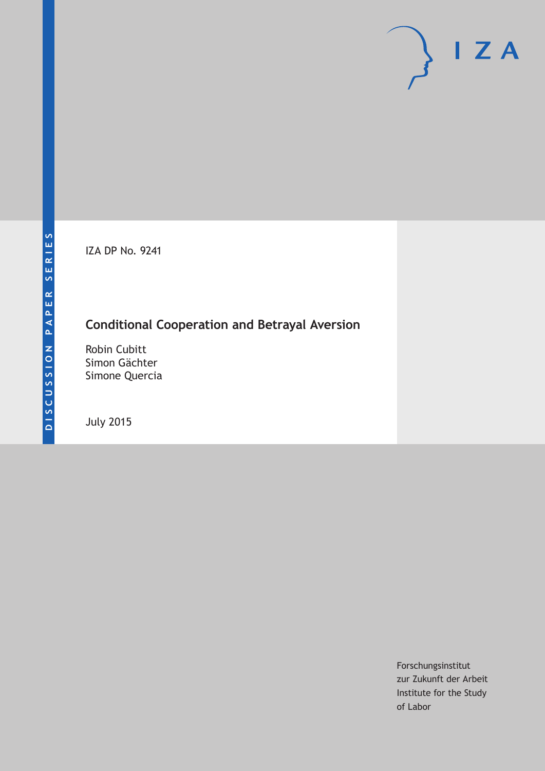IZA DP No. 9241

## **Conditional Cooperation and Betrayal Aversion**

Robin Cubitt Simon Gächter Simone Quercia

July 2015

Forschungsinstitut zur Zukunft der Arbeit Institute for the Study of Labor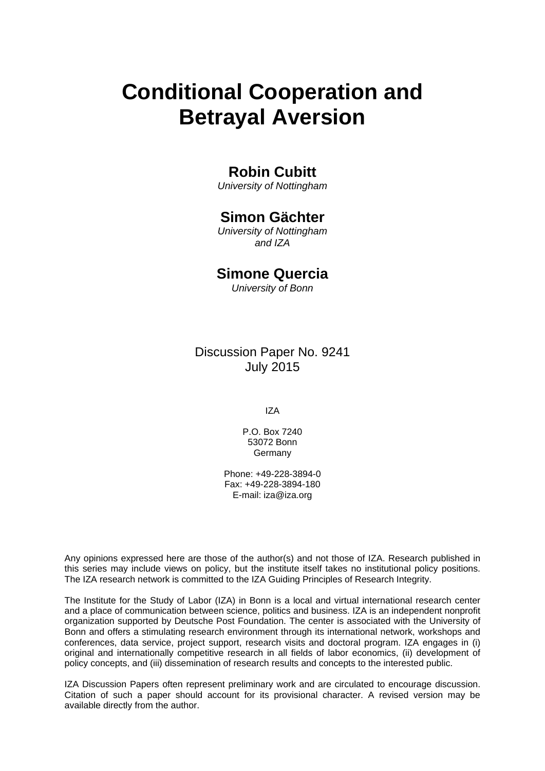# **Conditional Cooperation and Betrayal Aversion**

## **Robin Cubitt**

*University of Nottingham* 

## **Simon Gächter**

*University of Nottingham and IZA* 

## **Simone Quercia**

*University of Bonn*

Discussion Paper No. 9241 July 2015

IZA

P.O. Box 7240 53072 Bonn Germany

Phone: +49-228-3894-0 Fax: +49-228-3894-180 E-mail: iza@iza.org

Any opinions expressed here are those of the author(s) and not those of IZA. Research published in this series may include views on policy, but the institute itself takes no institutional policy positions. The IZA research network is committed to the IZA Guiding Principles of Research Integrity.

The Institute for the Study of Labor (IZA) in Bonn is a local and virtual international research center and a place of communication between science, politics and business. IZA is an independent nonprofit organization supported by Deutsche Post Foundation. The center is associated with the University of Bonn and offers a stimulating research environment through its international network, workshops and conferences, data service, project support, research visits and doctoral program. IZA engages in (i) original and internationally competitive research in all fields of labor economics, (ii) development of policy concepts, and (iii) dissemination of research results and concepts to the interested public.

IZA Discussion Papers often represent preliminary work and are circulated to encourage discussion. Citation of such a paper should account for its provisional character. A revised version may be available directly from the author.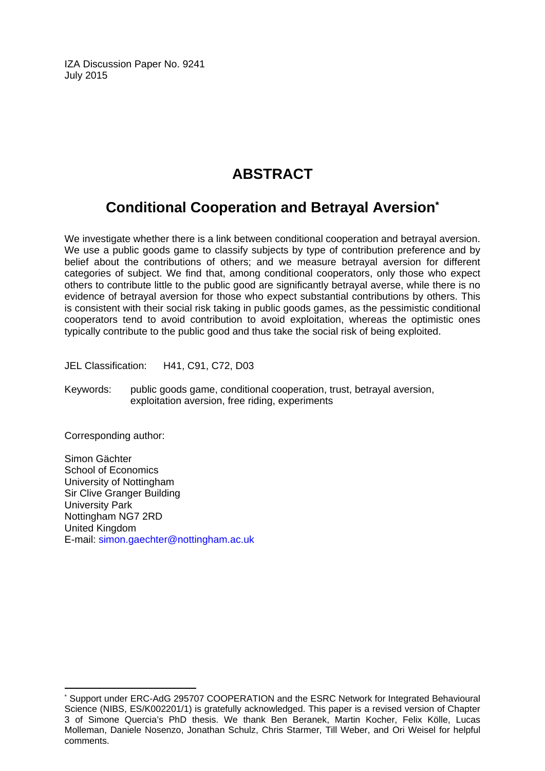IZA Discussion Paper No. 9241 July 2015

## **ABSTRACT**

## **Conditional Cooperation and Betrayal Aversion\***

We investigate whether there is a link between conditional cooperation and betrayal aversion. We use a public goods game to classify subjects by type of contribution preference and by belief about the contributions of others; and we measure betrayal aversion for different categories of subject. We find that, among conditional cooperators, only those who expect others to contribute little to the public good are significantly betrayal averse, while there is no evidence of betrayal aversion for those who expect substantial contributions by others. This is consistent with their social risk taking in public goods games, as the pessimistic conditional cooperators tend to avoid contribution to avoid exploitation, whereas the optimistic ones typically contribute to the public good and thus take the social risk of being exploited.

JEL Classification: H41, C91, C72, D03

Keywords: public goods game, conditional cooperation, trust, betrayal aversion, exploitation aversion, free riding, experiments

Corresponding author:

 $\overline{a}$ 

Simon Gächter School of Economics University of Nottingham Sir Clive Granger Building University Park Nottingham NG7 2RD United Kingdom E-mail: simon.gaechter@nottingham.ac.uk

<sup>\*</sup> Support under ERC-AdG 295707 COOPERATION and the ESRC Network for Integrated Behavioural Science (NIBS, ES/K002201/1) is gratefully acknowledged. This paper is a revised version of Chapter 3 of Simone Quercia's PhD thesis. We thank Ben Beranek, Martin Kocher, Felix Kölle, Lucas Molleman, Daniele Nosenzo, Jonathan Schulz, Chris Starmer, Till Weber, and Ori Weisel for helpful comments.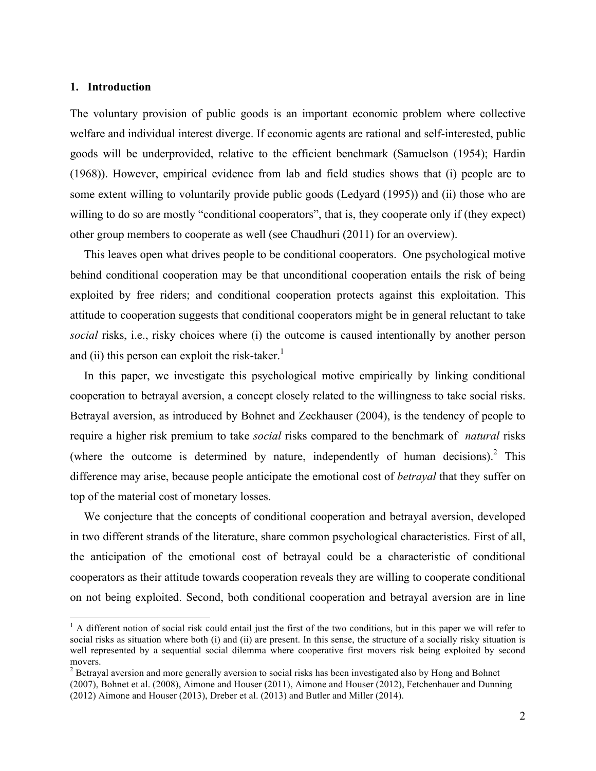#### **1. Introduction**

The voluntary provision of public goods is an important economic problem where collective welfare and individual interest diverge. If economic agents are rational and self-interested, public goods will be underprovided, relative to the efficient benchmark (Samuelson (1954); Hardin (1968)). However, empirical evidence from lab and field studies shows that (i) people are to some extent willing to voluntarily provide public goods (Ledyard (1995)) and (ii) those who are willing to do so are mostly "conditional cooperators", that is, they cooperate only if (they expect) other group members to cooperate as well (see Chaudhuri (2011) for an overview).

This leaves open what drives people to be conditional cooperators. One psychological motive behind conditional cooperation may be that unconditional cooperation entails the risk of being exploited by free riders; and conditional cooperation protects against this exploitation. This attitude to cooperation suggests that conditional cooperators might be in general reluctant to take *social* risks, i.e., risky choices where (i) the outcome is caused intentionally by another person and (ii) this person can exploit the risk-taker.<sup>1</sup>

In this paper, we investigate this psychological motive empirically by linking conditional cooperation to betrayal aversion, a concept closely related to the willingness to take social risks. Betrayal aversion, as introduced by Bohnet and Zeckhauser (2004), is the tendency of people to require a higher risk premium to take *social* risks compared to the benchmark of *natural* risks (where the outcome is determined by nature, independently of human decisions).<sup>2</sup> This difference may arise, because people anticipate the emotional cost of *betrayal* that they suffer on top of the material cost of monetary losses.

We conjecture that the concepts of conditional cooperation and betrayal aversion, developed in two different strands of the literature, share common psychological characteristics. First of all, the anticipation of the emotional cost of betrayal could be a characteristic of conditional cooperators as their attitude towards cooperation reveals they are willing to cooperate conditional on not being exploited. Second, both conditional cooperation and betrayal aversion are in line

 $<sup>1</sup>$  A different notion of social risk could entail just the first of the two conditions, but in this paper we will refer to</sup> social risks as situation where both (i) and (ii) are present. In this sense, the structure of a socially risky situation is well represented by a sequential social dilemma where cooperative first movers risk being exploited by second movers.

 $2$  Betrayal aversion and more generally aversion to social risks has been investigated also by Hong and Bohnet (2007), Bohnet et al. (2008), Aimone and Houser (2011), Aimone and Houser (2012), Fetchenhauer and Dunning (2012) Aimone and Houser (2013), Dreber et al. (2013) and Butler and Miller (2014).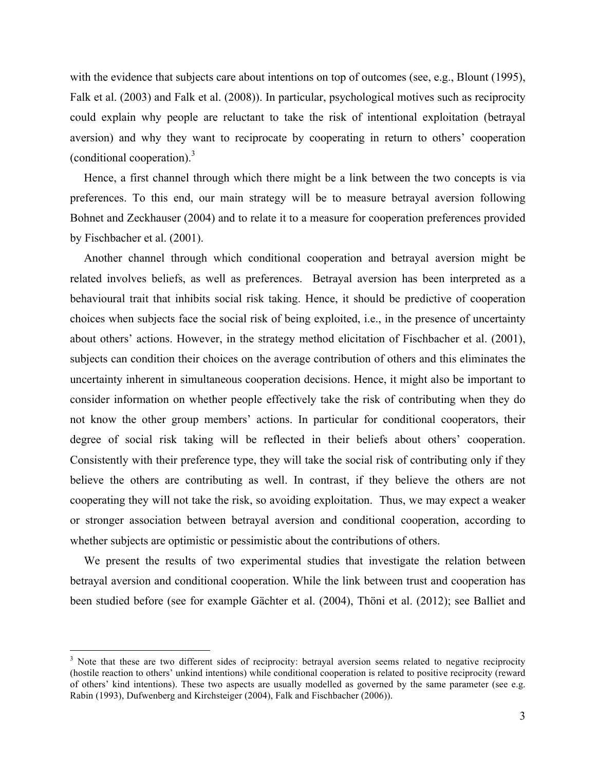with the evidence that subjects care about intentions on top of outcomes (see, e.g., Blount (1995), Falk et al. (2003) and Falk et al. (2008)). In particular, psychological motives such as reciprocity could explain why people are reluctant to take the risk of intentional exploitation (betrayal aversion) and why they want to reciprocate by cooperating in return to others' cooperation (conditional cooperation). $3$ 

Hence, a first channel through which there might be a link between the two concepts is via preferences. To this end, our main strategy will be to measure betrayal aversion following Bohnet and Zeckhauser (2004) and to relate it to a measure for cooperation preferences provided by Fischbacher et al. (2001).

Another channel through which conditional cooperation and betrayal aversion might be related involves beliefs, as well as preferences. Betrayal aversion has been interpreted as a behavioural trait that inhibits social risk taking. Hence, it should be predictive of cooperation choices when subjects face the social risk of being exploited, i.e., in the presence of uncertainty about others' actions. However, in the strategy method elicitation of Fischbacher et al. (2001), subjects can condition their choices on the average contribution of others and this eliminates the uncertainty inherent in simultaneous cooperation decisions. Hence, it might also be important to consider information on whether people effectively take the risk of contributing when they do not know the other group members' actions. In particular for conditional cooperators, their degree of social risk taking will be reflected in their beliefs about others' cooperation. Consistently with their preference type, they will take the social risk of contributing only if they believe the others are contributing as well. In contrast, if they believe the others are not cooperating they will not take the risk, so avoiding exploitation. Thus, we may expect a weaker or stronger association between betrayal aversion and conditional cooperation, according to whether subjects are optimistic or pessimistic about the contributions of others.

We present the results of two experimental studies that investigate the relation between betrayal aversion and conditional cooperation. While the link between trust and cooperation has been studied before (see for example Gächter et al. (2004), Thöni et al. (2012); see Balliet and

<sup>&</sup>lt;sup>3</sup> Note that these are two different sides of reciprocity: betrayal aversion seems related to negative reciprocity (hostile reaction to others' unkind intentions) while conditional cooperation is related to positive reciprocity (reward of others' kind intentions). These two aspects are usually modelled as governed by the same parameter (see e.g. Rabin (1993), Dufwenberg and Kirchsteiger (2004), Falk and Fischbacher (2006)).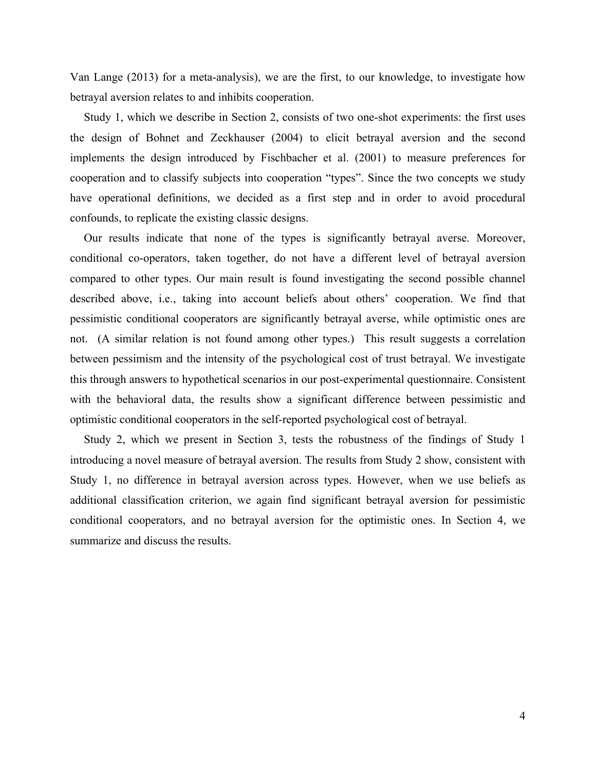Van Lange (2013) for a meta-analysis), we are the first, to our knowledge, to investigate how betrayal aversion relates to and inhibits cooperation.

Study 1, which we describe in Section 2, consists of two one-shot experiments: the first uses the design of Bohnet and Zeckhauser (2004) to elicit betrayal aversion and the second implements the design introduced by Fischbacher et al. (2001) to measure preferences for cooperation and to classify subjects into cooperation "types". Since the two concepts we study have operational definitions, we decided as a first step and in order to avoid procedural confounds, to replicate the existing classic designs.

Our results indicate that none of the types is significantly betrayal averse. Moreover, conditional co-operators, taken together, do not have a different level of betrayal aversion compared to other types. Our main result is found investigating the second possible channel described above, i.e., taking into account beliefs about others' cooperation. We find that pessimistic conditional cooperators are significantly betrayal averse, while optimistic ones are not. (A similar relation is not found among other types.) This result suggests a correlation between pessimism and the intensity of the psychological cost of trust betrayal. We investigate this through answers to hypothetical scenarios in our post-experimental questionnaire. Consistent with the behavioral data, the results show a significant difference between pessimistic and optimistic conditional cooperators in the self-reported psychological cost of betrayal.

Study 2, which we present in Section 3, tests the robustness of the findings of Study 1 introducing a novel measure of betrayal aversion. The results from Study 2 show, consistent with Study 1, no difference in betrayal aversion across types. However, when we use beliefs as additional classification criterion, we again find significant betrayal aversion for pessimistic conditional cooperators, and no betrayal aversion for the optimistic ones. In Section 4, we summarize and discuss the results.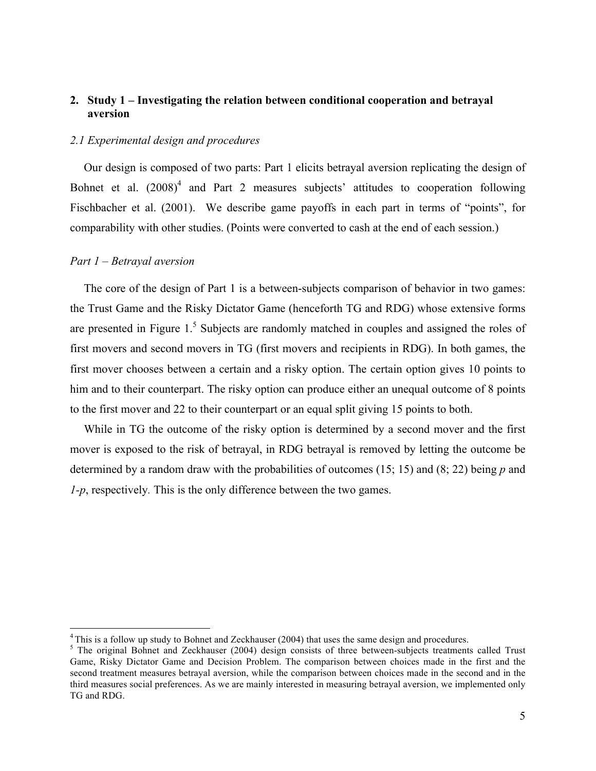#### **2. Study 1 – Investigating the relation between conditional cooperation and betrayal aversion**

#### *2.1 Experimental design and procedures*

Our design is composed of two parts: Part 1 elicits betrayal aversion replicating the design of Bohnet et al.  $(2008)^4$  and Part 2 measures subjects' attitudes to cooperation following Fischbacher et al. (2001). We describe game payoffs in each part in terms of "points", for comparability with other studies. (Points were converted to cash at the end of each session.)

#### *Part 1 – Betrayal aversion*

The core of the design of Part 1 is a between-subjects comparison of behavior in two games: the Trust Game and the Risky Dictator Game (henceforth TG and RDG) whose extensive forms are presented in Figure  $1<sup>5</sup>$  Subjects are randomly matched in couples and assigned the roles of first movers and second movers in TG (first movers and recipients in RDG). In both games, the first mover chooses between a certain and a risky option. The certain option gives 10 points to him and to their counterpart. The risky option can produce either an unequal outcome of 8 points to the first mover and 22 to their counterpart or an equal split giving 15 points to both.

While in TG the outcome of the risky option is determined by a second mover and the first mover is exposed to the risk of betrayal, in RDG betrayal is removed by letting the outcome be determined by a random draw with the probabilities of outcomes (15; 15) and (8; 22) being *p* and *1-p*, respectively*.* This is the only difference between the two games.

<sup>&</sup>lt;sup>4</sup> This is a follow up study to Bohnet and Zeckhauser (2004) that uses the same design and procedures.<br><sup>5</sup> The original Bohnet and Zeckhauser (2004) design consists of three between-subjects treatments called Trust Game, Risky Dictator Game and Decision Problem. The comparison between choices made in the first and the second treatment measures betrayal aversion, while the comparison between choices made in the second and in the third measures social preferences. As we are mainly interested in measuring betrayal aversion, we implemented only TG and RDG.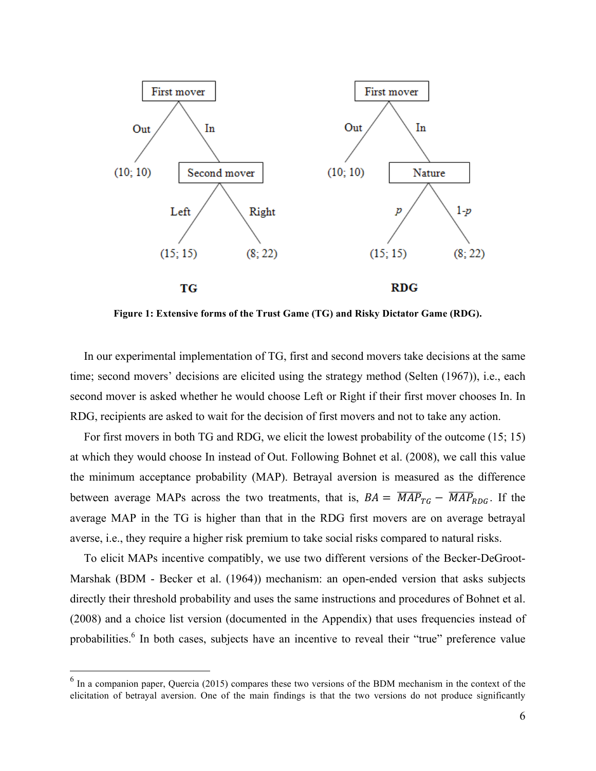

**Figure 1: Extensive forms of the Trust Game (TG) and Risky Dictator Game (RDG).**

In our experimental implementation of TG, first and second movers take decisions at the same time; second movers' decisions are elicited using the strategy method (Selten (1967)), i.e., each second mover is asked whether he would choose Left or Right if their first mover chooses In. In RDG, recipients are asked to wait for the decision of first movers and not to take any action.

For first movers in both TG and RDG, we elicit the lowest probability of the outcome (15; 15) at which they would choose In instead of Out. Following Bohnet et al. (2008), we call this value the minimum acceptance probability (MAP). Betrayal aversion is measured as the difference between average MAPs across the two treatments, that is,  $BA = \overline{MAP_{TG}} - \overline{MAP_{RDG}}$ . If the average MAP in the TG is higher than that in the RDG first movers are on average betrayal averse, i.e., they require a higher risk premium to take social risks compared to natural risks.

To elicit MAPs incentive compatibly, we use two different versions of the Becker-DeGroot-Marshak (BDM - Becker et al. (1964)) mechanism: an open-ended version that asks subjects directly their threshold probability and uses the same instructions and procedures of Bohnet et al. (2008) and a choice list version (documented in the Appendix) that uses frequencies instead of probabilities.<sup>6</sup> In both cases, subjects have an incentive to reveal their "true" preference value

<sup>&</sup>lt;sup>6</sup> In a companion paper, Quercia (2015) compares these two versions of the BDM mechanism in the context of the elicitation of betrayal aversion. One of the main findings is that the two versions do not produce significantly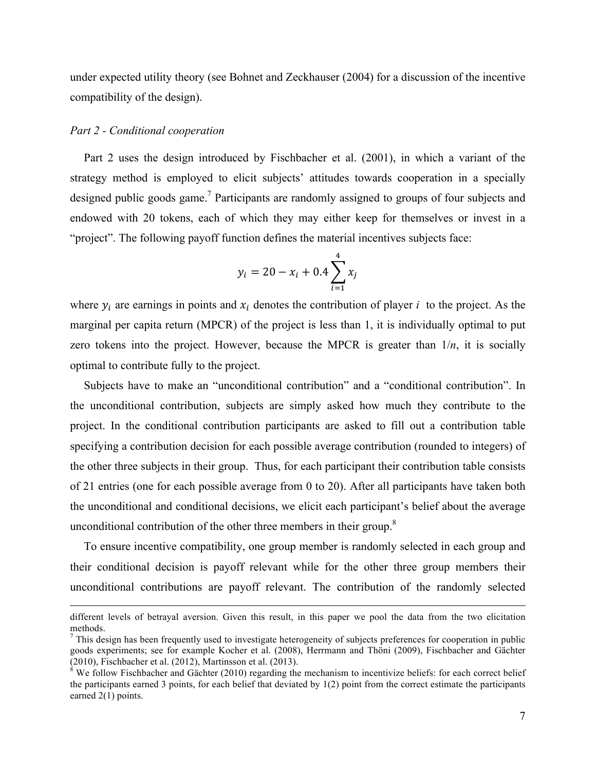under expected utility theory (see Bohnet and Zeckhauser (2004) for a discussion of the incentive compatibility of the design).

#### *Part 2 - Conditional cooperation*

 $\overline{a}$ 

Part 2 uses the design introduced by Fischbacher et al. (2001), in which a variant of the strategy method is employed to elicit subjects' attitudes towards cooperation in a specially designed public goods game.<sup>7</sup> Participants are randomly assigned to groups of four subjects and endowed with 20 tokens, each of which they may either keep for themselves or invest in a "project". The following payoff function defines the material incentives subjects face:

$$
y_i = 20 - x_i + 0.4 \sum_{i=1}^{4} x_i
$$

where  $y_i$  are earnings in points and  $x_i$  denotes the contribution of player *i* to the project. As the marginal per capita return (MPCR) of the project is less than 1, it is individually optimal to put zero tokens into the project. However, because the MPCR is greater than  $1/n$ , it is socially optimal to contribute fully to the project.

Subjects have to make an "unconditional contribution" and a "conditional contribution". In the unconditional contribution, subjects are simply asked how much they contribute to the project. In the conditional contribution participants are asked to fill out a contribution table specifying a contribution decision for each possible average contribution (rounded to integers) of the other three subjects in their group. Thus, for each participant their contribution table consists of 21 entries (one for each possible average from 0 to 20). After all participants have taken both the unconditional and conditional decisions, we elicit each participant's belief about the average unconditional contribution of the other three members in their group.<sup>8</sup>

To ensure incentive compatibility, one group member is randomly selected in each group and their conditional decision is payoff relevant while for the other three group members their unconditional contributions are payoff relevant. The contribution of the randomly selected

different levels of betrayal aversion. Given this result, in this paper we pool the data from the two elicitation methods.

 $<sup>7</sup>$  This design has been frequently used to investigate heterogeneity of subjects preferences for cooperation in public</sup> goods experiments; see for example Kocher et al. (2008), Herrmann and Thöni (2009), Fischbacher and Gächter

 $\frac{8}{8}$  We follow Fischbacher and Gächter (2010) regarding the mechanism to incentivize beliefs: for each correct belief the participants earned 3 points, for each belief that deviated by 1(2) point from the correct estimate the participants earned 2(1) points.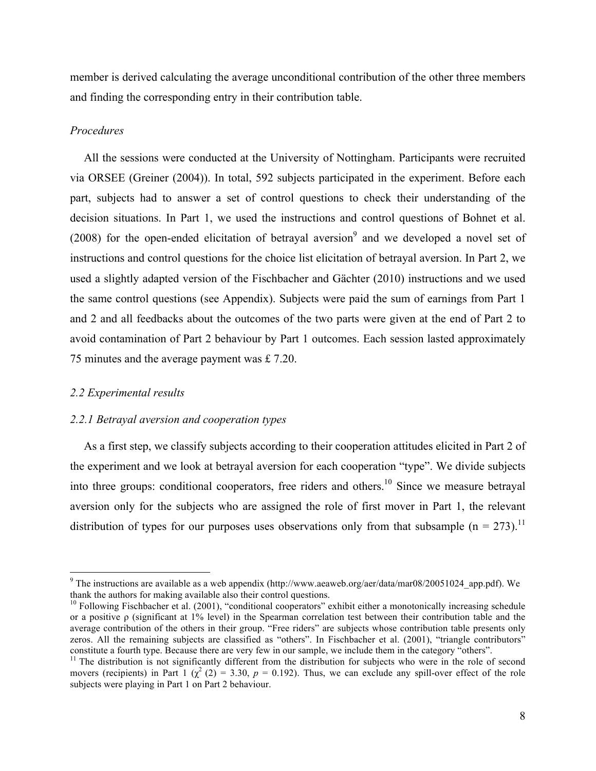member is derived calculating the average unconditional contribution of the other three members and finding the corresponding entry in their contribution table.

#### *Procedures*

All the sessions were conducted at the University of Nottingham. Participants were recruited via ORSEE (Greiner (2004)). In total, 592 subjects participated in the experiment. Before each part, subjects had to answer a set of control questions to check their understanding of the decision situations. In Part 1, we used the instructions and control questions of Bohnet et al. (2008) for the open-ended elicitation of betrayal aversion<sup>9</sup> and we developed a novel set of instructions and control questions for the choice list elicitation of betrayal aversion. In Part 2, we used a slightly adapted version of the Fischbacher and Gächter (2010) instructions and we used the same control questions (see Appendix). Subjects were paid the sum of earnings from Part 1 and 2 and all feedbacks about the outcomes of the two parts were given at the end of Part 2 to avoid contamination of Part 2 behaviour by Part 1 outcomes. Each session lasted approximately 75 minutes and the average payment was £ 7.20.

#### *2.2 Experimental results*

#### *2.2.1 Betrayal aversion and cooperation types*

As a first step, we classify subjects according to their cooperation attitudes elicited in Part 2 of the experiment and we look at betrayal aversion for each cooperation "type". We divide subjects into three groups: conditional cooperators, free riders and others.<sup>10</sup> Since we measure betrayal aversion only for the subjects who are assigned the role of first mover in Part 1, the relevant distribution of types for our purposes uses observations only from that subsample ( $n = 273$ ).<sup>11</sup>

 $9$  The instructions are available as a web appendix (http://www.aeaweb.org/aer/data/mar08/20051024\_app.pdf). We thank the authors for making available also their control questions.

<sup>&</sup>lt;sup>10</sup> Following Fischbacher et al. (2001), "conditional cooperators" exhibit either a monotonically increasing schedule or a positive ρ (significant at 1% level) in the Spearman correlation test between their contribution table and the average contribution of the others in their group. "Free riders" are subjects whose contribution table presents only zeros. All the remaining subjects are classified as "others". In Fischbacher et al. (2001), "triangle contributors" constitute a fourth type. Because there are very few in our sample, we include them in the category "others".<br><sup>11</sup> The distribution is not significantly different from the distribution for subjects who were in the role of

movers (recipients) in Part 1  $(\chi^2(2) = 3.30, p = 0.192)$ . Thus, we can exclude any spill-over effect of the role subjects were playing in Part 1 on Part 2 behaviour.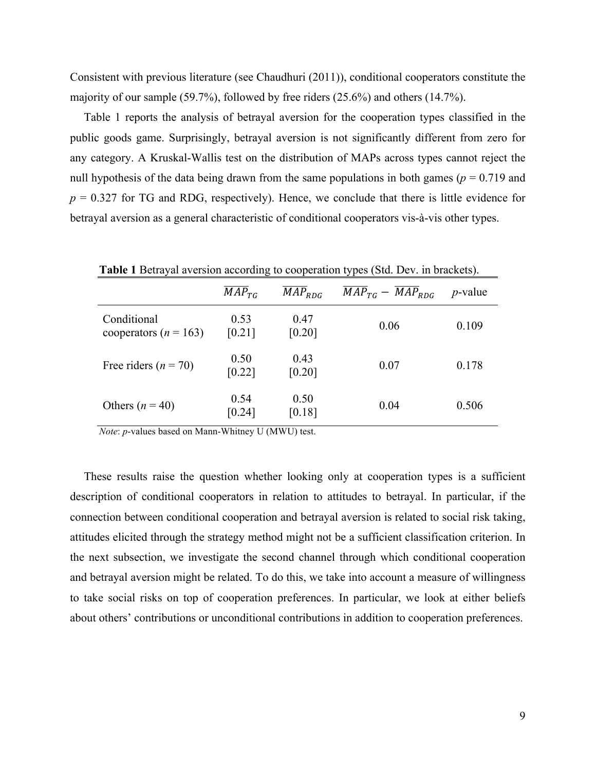Consistent with previous literature (see Chaudhuri (2011)), conditional cooperators constitute the majority of our sample (59.7%), followed by free riders (25.6%) and others (14.7%).

Table 1 reports the analysis of betrayal aversion for the cooperation types classified in the public goods game. Surprisingly, betrayal aversion is not significantly different from zero for any category. A Kruskal-Wallis test on the distribution of MAPs across types cannot reject the null hypothesis of the data being drawn from the same populations in both games ( $p = 0.719$  and  $p = 0.327$  for TG and RDG, respectively). Hence, we conclude that there is little evidence for betrayal aversion as a general characteristic of conditional cooperators vis-à-vis other types.

|                                          | $\overline{MAP}_{TG}$       | $\overline{MAP}_{RDG}$ | $\overline{MAP}_{TG} - \overline{MAP}_{RDG}$ | $p$ -value |
|------------------------------------------|-----------------------------|------------------------|----------------------------------------------|------------|
| Conditional<br>cooperators ( $n = 163$ ) | 0.53<br>[0.21]              | 0.47<br>[0.20]         | 0.06                                         | 0.109      |
| Free riders ( $n = 70$ )                 | 0.50<br>[0.22]              | 0.43<br>[0.20]         | 0.07                                         | 0.178      |
| Others $(n = 40)$                        | 0.54<br>$\left[0.24\right]$ | 0.50<br>[0.18]         | 0.04                                         | 0.506      |

 *Note*: *p*-values based on Mann-Whitney U (MWU) test.

These results raise the question whether looking only at cooperation types is a sufficient description of conditional cooperators in relation to attitudes to betrayal. In particular, if the connection between conditional cooperation and betrayal aversion is related to social risk taking, attitudes elicited through the strategy method might not be a sufficient classification criterion. In the next subsection, we investigate the second channel through which conditional cooperation and betrayal aversion might be related. To do this, we take into account a measure of willingness to take social risks on top of cooperation preferences. In particular, we look at either beliefs about others' contributions or unconditional contributions in addition to cooperation preferences.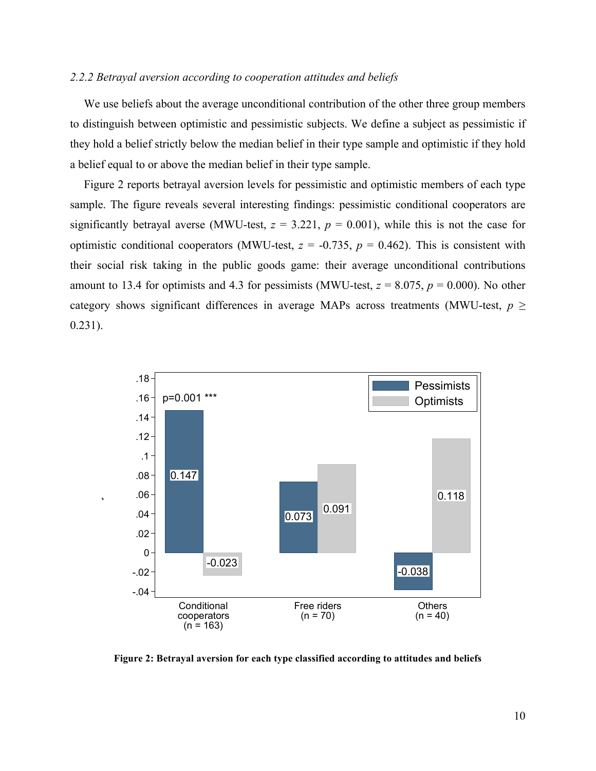#### *2.2.2 Betrayal aversion according to cooperation attitudes and beliefs*

We use beliefs about the average unconditional contribution of the other three group members to distinguish between optimistic and pessimistic subjects. We define a subject as pessimistic if they hold a belief strictly below the median belief in their type sample and optimistic if they hold a belief equal to or above the median belief in their type sample.

Figure 2 reports betrayal aversion levels for pessimistic and optimistic members of each type sample. The figure reveals several interesting findings: pessimistic conditional cooperators are significantly betrayal averse (MWU-test,  $z = 3.221$ ,  $p = 0.001$ ), while this is not the case for optimistic conditional cooperators (MWU-test,  $z = -0.735$ ,  $p = 0.462$ ). This is consistent with their social risk taking in the public goods game: their average unconditional contributions amount to 13.4 for optimists and 4.3 for pessimists (MWU-test,  $z = 8.075$ ,  $p = 0.000$ ). No other category shows significant differences in average MAPs across treatments (MWU-test,  $p \geq$ 0.231).



Betrayal aversion

**Figure 2: Betrayal aversion for each type classified according to attitudes and beliefs**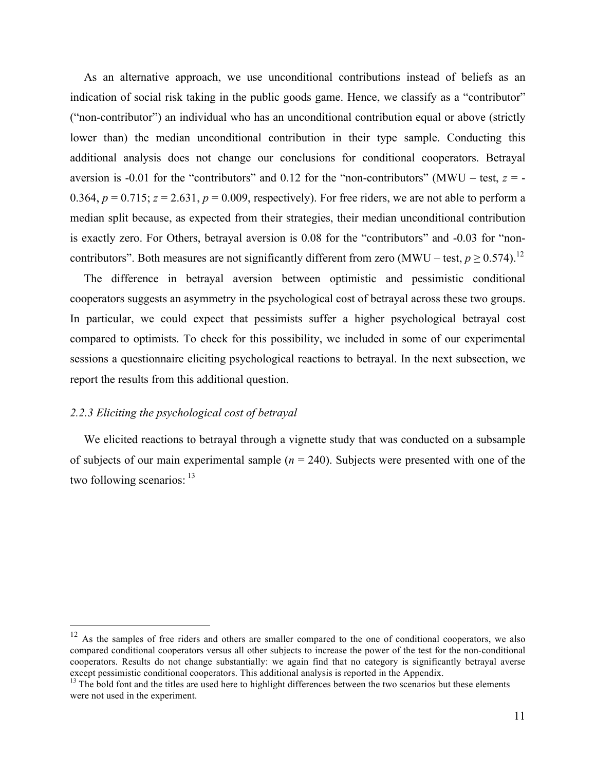As an alternative approach, we use unconditional contributions instead of beliefs as an indication of social risk taking in the public goods game. Hence, we classify as a "contributor" ("non-contributor") an individual who has an unconditional contribution equal or above (strictly lower than) the median unconditional contribution in their type sample. Conducting this additional analysis does not change our conclusions for conditional cooperators. Betrayal aversion is -0.01 for the "contributors" and 0.12 for the "non-contributors" (MWU – test,  $z = -$ 0.364,  $p = 0.715$ ;  $z = 2.631$ ,  $p = 0.009$ , respectively). For free riders, we are not able to perform a median split because, as expected from their strategies, their median unconditional contribution is exactly zero. For Others, betrayal aversion is 0.08 for the "contributors" and -0.03 for "noncontributors". Both measures are not significantly different from zero (MWU – test,  $p \ge 0.574$ ).<sup>12</sup>

The difference in betrayal aversion between optimistic and pessimistic conditional cooperators suggests an asymmetry in the psychological cost of betrayal across these two groups. In particular, we could expect that pessimists suffer a higher psychological betrayal cost compared to optimists. To check for this possibility, we included in some of our experimental sessions a questionnaire eliciting psychological reactions to betrayal. In the next subsection, we report the results from this additional question.

#### *2.2.3 Eliciting the psychological cost of betrayal*

We elicited reactions to betrayal through a vignette study that was conducted on a subsample of subjects of our main experimental sample (*n* = 240). Subjects were presented with one of the two following scenarios:  $13$ 

<sup>&</sup>lt;sup>12</sup> As the samples of free riders and others are smaller compared to the one of conditional cooperators, we also compared conditional cooperators versus all other subjects to increase the power of the test for the non-conditional cooperators. Results do not change substantially: we again find that no category is significantly betrayal averse except pessimistic conditional cooperators. This additional analysis is reported in the Appendix.<br><sup>13</sup> The bold font and the titles are used here to highlight differences between the two scenarios but these elements

were not used in the experiment.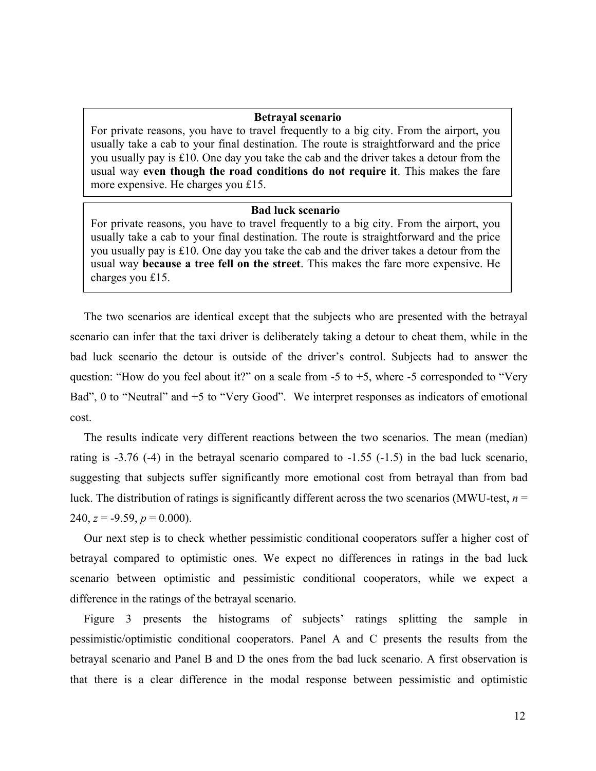#### **Betrayal scenario**

For private reasons, you have to travel frequently to a big city. From the airport, you usually take a cab to your final destination. The route is straightforward and the price you usually pay is £10. One day you take the cab and the driver takes a detour from the usual way **even though the road conditions do not require it**. This makes the fare more expensive. He charges you £15.

#### **Bad luck scenario**

For private reasons, you have to travel frequently to a big city. From the airport, you usually take a cab to your final destination. The route is straightforward and the price you usually pay is £10. One day you take the cab and the driver takes a detour from the usual way **because a tree fell on the street**. This makes the fare more expensive. He charges you £15.

The two scenarios are identical except that the subjects who are presented with the betrayal scenario can infer that the taxi driver is deliberately taking a detour to cheat them, while in the bad luck scenario the detour is outside of the driver's control. Subjects had to answer the question: "How do you feel about it?" on a scale from  $-5$  to  $+5$ , where  $-5$  corresponded to "Very Bad", 0 to "Neutral" and +5 to "Very Good". We interpret responses as indicators of emotional cost.

The results indicate very different reactions between the two scenarios. The mean (median) rating is -3.76 (-4) in the betrayal scenario compared to -1.55 (-1.5) in the bad luck scenario, suggesting that subjects suffer significantly more emotional cost from betrayal than from bad luck. The distribution of ratings is significantly different across the two scenarios (MWU-test, *n* = 240,  $z = -9.59$ ,  $p = 0.000$ ).

Our next step is to check whether pessimistic conditional cooperators suffer a higher cost of betrayal compared to optimistic ones. We expect no differences in ratings in the bad luck scenario between optimistic and pessimistic conditional cooperators, while we expect a difference in the ratings of the betrayal scenario.

Figure 3 presents the histograms of subjects' ratings splitting the sample in pessimistic/optimistic conditional cooperators. Panel A and C presents the results from the betrayal scenario and Panel B and D the ones from the bad luck scenario. A first observation is that there is a clear difference in the modal response between pessimistic and optimistic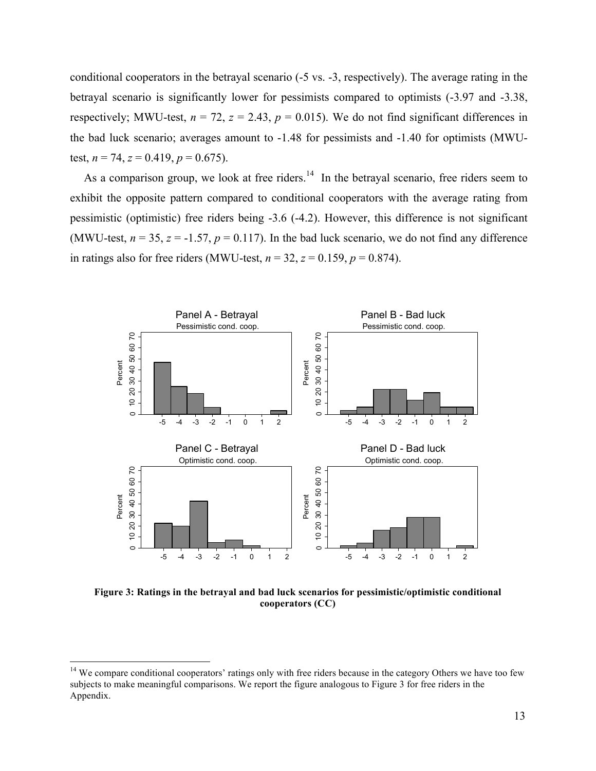conditional cooperators in the betrayal scenario (-5 vs. -3, respectively). The average rating in the betrayal scenario is significantly lower for pessimists compared to optimists (-3.97 and -3.38, respectively; MWU-test,  $n = 72$ ,  $z = 2.43$ ,  $p = 0.015$ ). We do not find significant differences in the bad luck scenario; averages amount to -1.48 for pessimists and -1.40 for optimists (MWUtest,  $n = 74$ ,  $z = 0.419$ ,  $p = 0.675$ ).

As a comparison group, we look at free riders.<sup>14</sup> In the betrayal scenario, free riders seem to exhibit the opposite pattern compared to conditional cooperators with the average rating from pessimistic (optimistic) free riders being -3.6 (-4.2). However, this difference is not significant (MWU-test,  $n = 35$ ,  $z = -1.57$ ,  $p = 0.117$ ). In the bad luck scenario, we do not find any difference in ratings also for free riders (MWU-test,  $n = 32$ ,  $z = 0.159$ ,  $p = 0.874$ ).



**Figure 3: Ratings in the betrayal and bad luck scenarios for pessimistic/optimistic conditional cooperators (CC)**

<sup>&</sup>lt;sup>14</sup> We compare conditional cooperators' ratings only with free riders because in the category Others we have too few subjects to make meaningful comparisons. We report the figure analogous to Figure 3 for free riders in the Appendix.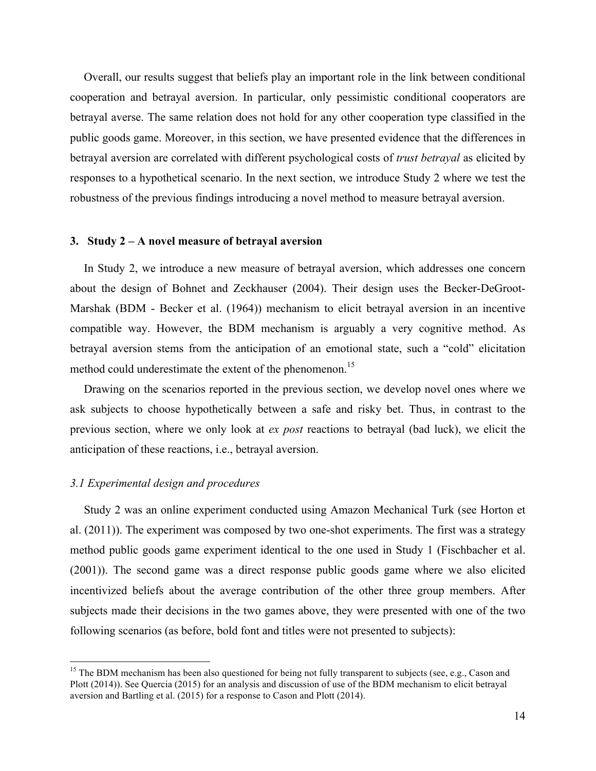Overall, our results suggest that beliefs play an important role in the link between conditional cooperation and betrayal aversion. In particular, only pessimistic conditional cooperators are betrayal averse. The same relation does not hold for any other cooperation type classified in the public goods game. Moreover, in this section, we have presented evidence that the differences in betrayal aversion are correlated with different psychological costs of *trust betrayal* as elicited by responses to a hypothetical scenario. In the next section, we introduce Study 2 where we test the robustness of the previous findings introducing a novel method to measure betrayal aversion.

#### **3. Study 2 – A novel measure of betrayal aversion**

In Study 2, we introduce a new measure of betrayal aversion, which addresses one concern about the design of Bohnet and Zeckhauser (2004). Their design uses the Becker-DeGroot-Marshak (BDM - Becker et al. (1964)) mechanism to elicit betrayal aversion in an incentive compatible way. However, the BDM mechanism is arguably a very cognitive method. As betrayal aversion stems from the anticipation of an emotional state, such a "cold" elicitation method could underestimate the extent of the phenomenon.<sup>15</sup>

Drawing on the scenarios reported in the previous section, we develop novel ones where we ask subjects to choose hypothetically between a safe and risky bet. Thus, in contrast to the previous section, where we only look at *ex post* reactions to betrayal (bad luck), we elicit the anticipation of these reactions, i.e., betrayal aversion.

#### *3.1 Experimental design and procedures*

Study 2 was an online experiment conducted using Amazon Mechanical Turk (see Horton et al. (2011)). The experiment was composed by two one-shot experiments. The first was a strategy method public goods game experiment identical to the one used in Study 1 (Fischbacher et al. (2001)). The second game was a direct response public goods game where we also elicited incentivized beliefs about the average contribution of the other three group members. After subjects made their decisions in the two games above, they were presented with one of the two following scenarios (as before, bold font and titles were not presented to subjects):

<sup>&</sup>lt;sup>15</sup> The BDM mechanism has been also questioned for being not fully transparent to subjects (see, e.g., Cason and Plott (2014)). See Quercia (2015) for an analysis and discussion of use of the BDM mechanism to elicit betrayal aversion and Bartling et al. (2015) for a response to Cason and Plott (2014).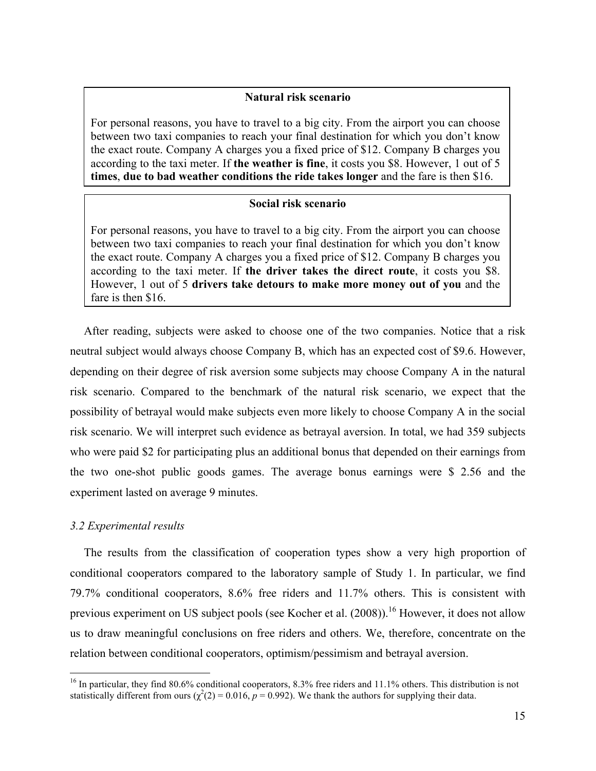#### **Natural risk scenario**

For personal reasons, you have to travel to a big city. From the airport you can choose between two taxi companies to reach your final destination for which you don't know the exact route. Company A charges you a fixed price of \$12. Company B charges you according to the taxi meter. If **the weather is fine**, it costs you \$8. However, 1 out of 5 **times**, **due to bad weather conditions the ride takes longer** and the fare is then \$16.

#### **Social risk scenario**

For personal reasons, you have to travel to a big city. From the airport you can choose between two taxi companies to reach your final destination for which you don't know the exact route. Company A charges you a fixed price of \$12. Company B charges you according to the taxi meter. If **the driver takes the direct route**, it costs you \$8. However, 1 out of 5 **drivers take detours to make more money out of you** and the fare is then \$16.

After reading, subjects were asked to choose one of the two companies. Notice that a risk neutral subject would always choose Company B, which has an expected cost of \$9.6. However, depending on their degree of risk aversion some subjects may choose Company A in the natural risk scenario. Compared to the benchmark of the natural risk scenario, we expect that the possibility of betrayal would make subjects even more likely to choose Company A in the social risk scenario. We will interpret such evidence as betrayal aversion. In total, we had 359 subjects who were paid \$2 for participating plus an additional bonus that depended on their earnings from the two one-shot public goods games. The average bonus earnings were \$ 2.56 and the experiment lasted on average 9 minutes.

#### *3.2 Experimental results*

The results from the classification of cooperation types show a very high proportion of conditional cooperators compared to the laboratory sample of Study 1. In particular, we find 79.7% conditional cooperators, 8.6% free riders and 11.7% others. This is consistent with previous experiment on US subject pools (see Kocher et al. (2008)).<sup>16</sup> However, it does not allow us to draw meaningful conclusions on free riders and others. We, therefore, concentrate on the relation between conditional cooperators, optimism/pessimism and betrayal aversion.

 $16$  In particular, they find 80.6% conditional cooperators, 8.3% free riders and 11.1% others. This distribution is not statistically different from ours  $(\chi^2(2) = 0.016, p = 0.992)$ . We thank the authors for supplying their data.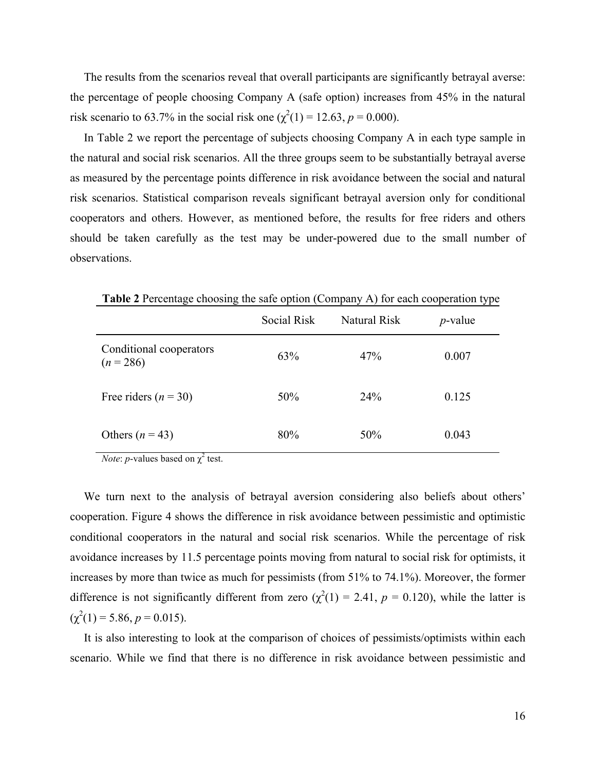The results from the scenarios reveal that overall participants are significantly betrayal averse: the percentage of people choosing Company A (safe option) increases from 45% in the natural risk scenario to 63.7% in the social risk one  $(\chi^2(1) = 12.63, p = 0.000)$ .

In Table 2 we report the percentage of subjects choosing Company A in each type sample in the natural and social risk scenarios. All the three groups seem to be substantially betrayal averse as measured by the percentage points difference in risk avoidance between the social and natural risk scenarios. Statistical comparison reveals significant betrayal aversion only for conditional cooperators and others. However, as mentioned before, the results for free riders and others should be taken carefully as the test may be under-powered due to the small number of observations.

|                                        | Social Risk | Natural Risk | $p$ -value |
|----------------------------------------|-------------|--------------|------------|
| Conditional cooperators<br>$(n = 286)$ | 63%         | 47%          | 0.007      |
| Free riders ( $n = 30$ )               | 50%         | 24%          | 0.125      |
| Others $(n = 43)$                      | 80%         | 50%          | 0.043      |

 **Table 2** Percentage choosing the safe option (Company A) for each cooperation type

*Note: p*-values based on  $\chi^2$  test.

We turn next to the analysis of betrayal aversion considering also beliefs about others' cooperation. Figure 4 shows the difference in risk avoidance between pessimistic and optimistic conditional cooperators in the natural and social risk scenarios. While the percentage of risk avoidance increases by 11.5 percentage points moving from natural to social risk for optimists, it increases by more than twice as much for pessimists (from 51% to 74.1%). Moreover, the former difference is not significantly different from zero  $(\chi^2(1) = 2.41, p = 0.120)$ , while the latter is  $(\chi^2(1) = 5.86, p = 0.015).$ 

It is also interesting to look at the comparison of choices of pessimists/optimists within each scenario. While we find that there is no difference in risk avoidance between pessimistic and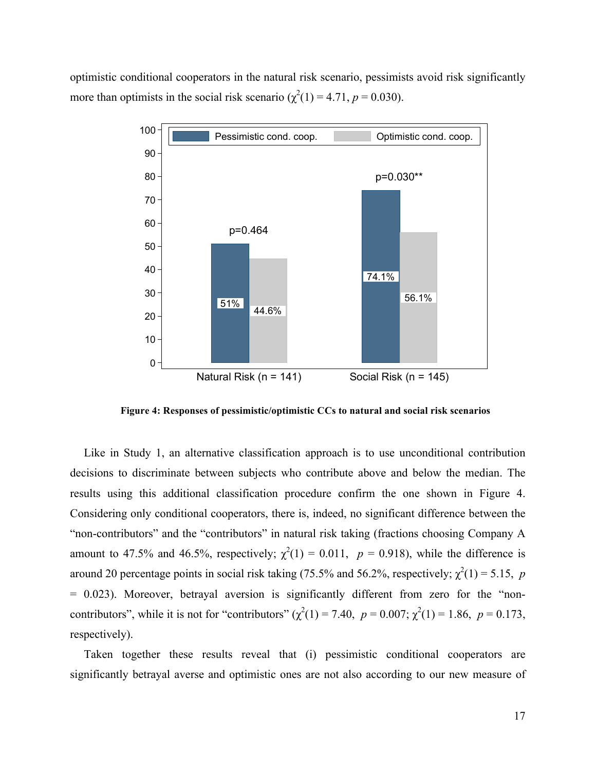optimistic conditional cooperators in the natural risk scenario, pessimists avoid risk significantly more than optimists in the social risk scenario ( $\chi^2(1) = 4.71$ ,  $p = 0.030$ ).



 **Figure 4: Responses of pessimistic/optimistic CCs to natural and social risk scenarios**

Like in Study 1, an alternative classification approach is to use unconditional contribution decisions to discriminate between subjects who contribute above and below the median. The results using this additional classification procedure confirm the one shown in Figure 4. Considering only conditional cooperators, there is, indeed, no significant difference between the "non-contributors" and the "contributors" in natural risk taking (fractions choosing Company A amount to 47.5% and 46.5%, respectively;  $\chi^2(1) = 0.011$ ,  $p = 0.918$ ), while the difference is around 20 percentage points in social risk taking (75.5% and 56.2%, respectively;  $\chi^2(1) = 5.15$ , p = 0.023). Moreover, betrayal aversion is significantly different from zero for the "noncontributors", while it is not for "contributors"  $(\chi^2(1) = 7.40, p = 0.007; \chi^2(1) = 1.86, p = 0.173,$ respectively).

Taken together these results reveal that (i) pessimistic conditional cooperators are significantly betrayal averse and optimistic ones are not also according to our new measure of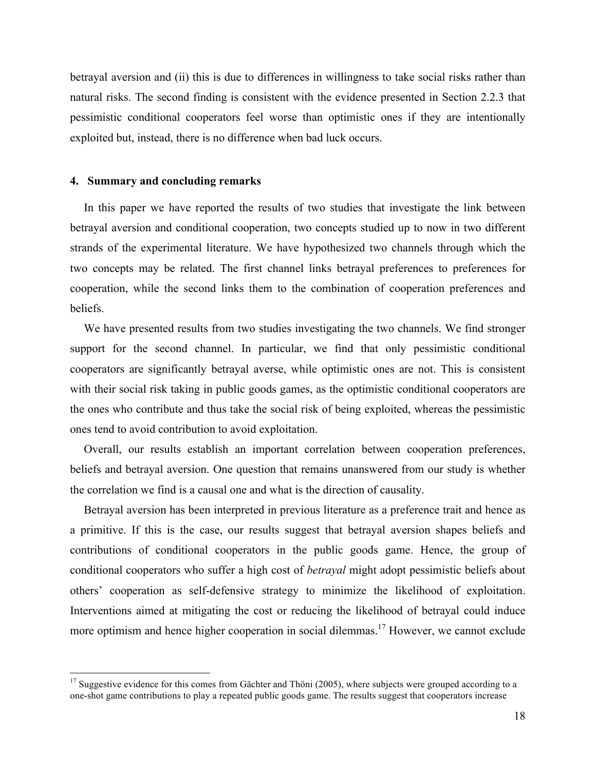betrayal aversion and (ii) this is due to differences in willingness to take social risks rather than natural risks. The second finding is consistent with the evidence presented in Section 2.2.3 that pessimistic conditional cooperators feel worse than optimistic ones if they are intentionally exploited but, instead, there is no difference when bad luck occurs.

#### **4. Summary and concluding remarks**

In this paper we have reported the results of two studies that investigate the link between betrayal aversion and conditional cooperation, two concepts studied up to now in two different strands of the experimental literature. We have hypothesized two channels through which the two concepts may be related. The first channel links betrayal preferences to preferences for cooperation, while the second links them to the combination of cooperation preferences and beliefs.

We have presented results from two studies investigating the two channels. We find stronger support for the second channel. In particular, we find that only pessimistic conditional cooperators are significantly betrayal averse, while optimistic ones are not. This is consistent with their social risk taking in public goods games, as the optimistic conditional cooperators are the ones who contribute and thus take the social risk of being exploited, whereas the pessimistic ones tend to avoid contribution to avoid exploitation.

Overall, our results establish an important correlation between cooperation preferences, beliefs and betrayal aversion. One question that remains unanswered from our study is whether the correlation we find is a causal one and what is the direction of causality.

Betrayal aversion has been interpreted in previous literature as a preference trait and hence as a primitive. If this is the case, our results suggest that betrayal aversion shapes beliefs and contributions of conditional cooperators in the public goods game. Hence, the group of conditional cooperators who suffer a high cost of *betrayal* might adopt pessimistic beliefs about others' cooperation as self-defensive strategy to minimize the likelihood of exploitation. Interventions aimed at mitigating the cost or reducing the likelihood of betrayal could induce more optimism and hence higher cooperation in social dilemmas.<sup>17</sup> However, we cannot exclude

<sup>&</sup>lt;sup>17</sup> Suggestive evidence for this comes from Gächter and Thöni (2005), where subjects were grouped according to a one-shot game contributions to play a repeated public goods game. The results suggest that cooperators increase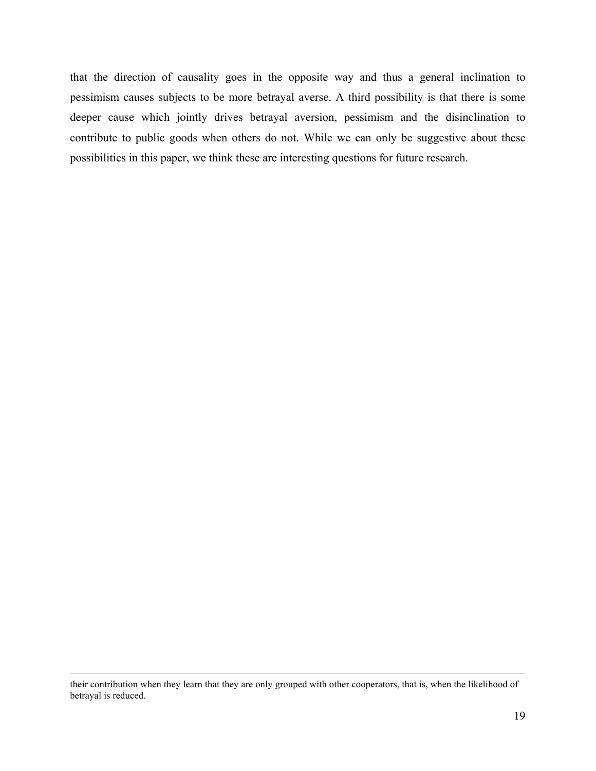that the direction of causality goes in the opposite way and thus a general inclination to pessimism causes subjects to be more betrayal averse. A third possibility is that there is some deeper cause which jointly drives betrayal aversion, pessimism and the disinclination to contribute to public goods when others do not. While we can only be suggestive about these possibilities in this paper, we think these are interesting questions for future research.

their contribution when they learn that they are only grouped with other cooperators, that is, when the likelihood of betrayal is reduced.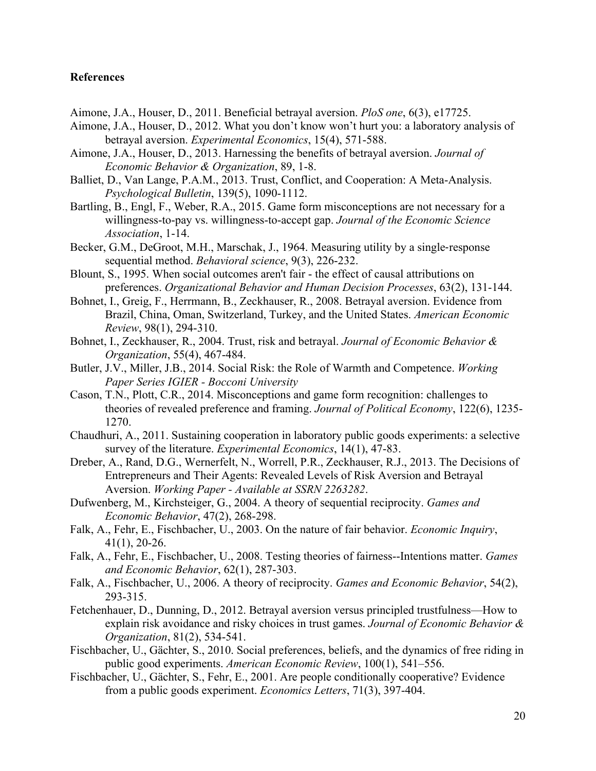#### **References**

- Aimone, J.A., Houser, D., 2011. Beneficial betrayal aversion. *PloS one*, 6(3), e17725.
- Aimone, J.A., Houser, D., 2012. What you don't know won't hurt you: a laboratory analysis of betrayal aversion. *Experimental Economics*, 15(4), 571-588.
- Aimone, J.A., Houser, D., 2013. Harnessing the benefits of betrayal aversion. *Journal of Economic Behavior & Organization*, 89, 1-8.
- Balliet, D., Van Lange, P.A.M., 2013. Trust, Conflict, and Cooperation: A Meta-Analysis. *Psychological Bulletin*, 139(5), 1090-1112.
- Bartling, B., Engl, F., Weber, R.A., 2015. Game form misconceptions are not necessary for a willingness-to-pay vs. willingness-to-accept gap. *Journal of the Economic Science Association*, 1-14.
- Becker, G.M., DeGroot, M.H., Marschak, J., 1964. Measuring utility by a single-response sequential method. *Behavioral science*, 9(3), 226-232.
- Blount, S., 1995. When social outcomes aren't fair the effect of causal attributions on preferences. *Organizational Behavior and Human Decision Processes*, 63(2), 131-144.
- Bohnet, I., Greig, F., Herrmann, B., Zeckhauser, R., 2008. Betrayal aversion. Evidence from Brazil, China, Oman, Switzerland, Turkey, and the United States. *American Economic Review*, 98(1), 294-310.
- Bohnet, I., Zeckhauser, R., 2004. Trust, risk and betrayal. *Journal of Economic Behavior & Organization*, 55(4), 467-484.
- Butler, J.V., Miller, J.B., 2014. Social Risk: the Role of Warmth and Competence. *Working Paper Series IGIER - Bocconi University*
- Cason, T.N., Plott, C.R., 2014. Misconceptions and game form recognition: challenges to theories of revealed preference and framing. *Journal of Political Economy*, 122(6), 1235- 1270.
- Chaudhuri, A., 2011. Sustaining cooperation in laboratory public goods experiments: a selective survey of the literature. *Experimental Economics*, 14(1), 47-83.
- Dreber, A., Rand, D.G., Wernerfelt, N., Worrell, P.R., Zeckhauser, R.J., 2013. The Decisions of Entrepreneurs and Their Agents: Revealed Levels of Risk Aversion and Betrayal Aversion. *Working Paper - Available at SSRN 2263282*.
- Dufwenberg, M., Kirchsteiger, G., 2004. A theory of sequential reciprocity. *Games and Economic Behavior*, 47(2), 268-298.
- Falk, A., Fehr, E., Fischbacher, U., 2003. On the nature of fair behavior. *Economic Inquiry*, 41(1), 20-26.
- Falk, A., Fehr, E., Fischbacher, U., 2008. Testing theories of fairness--Intentions matter. *Games and Economic Behavior*, 62(1), 287-303.
- Falk, A., Fischbacher, U., 2006. A theory of reciprocity. *Games and Economic Behavior*, 54(2), 293-315.
- Fetchenhauer, D., Dunning, D., 2012. Betrayal aversion versus principled trustfulness—How to explain risk avoidance and risky choices in trust games. *Journal of Economic Behavior & Organization*, 81(2), 534-541.
- Fischbacher, U., Gächter, S., 2010. Social preferences, beliefs, and the dynamics of free riding in public good experiments. *American Economic Review*, 100(1), 541–556.
- Fischbacher, U., Gächter, S., Fehr, E., 2001. Are people conditionally cooperative? Evidence from a public goods experiment. *Economics Letters*, 71(3), 397-404.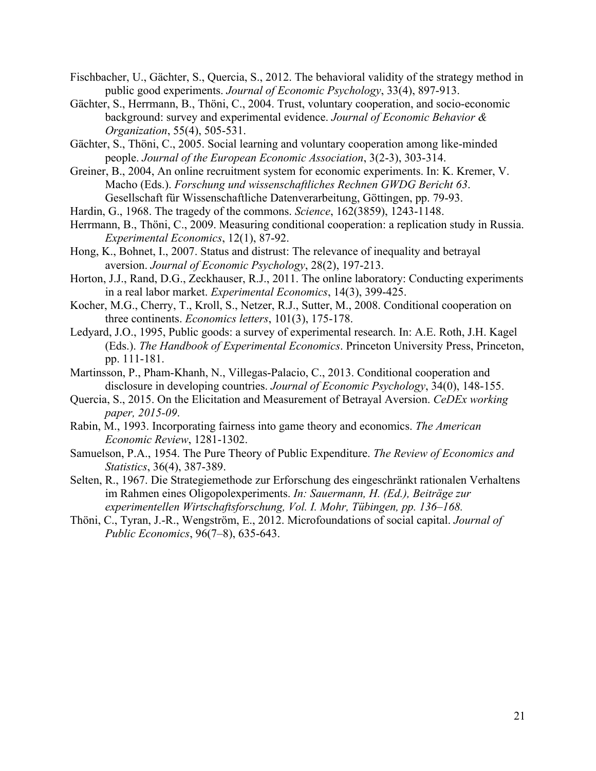- Fischbacher, U., Gächter, S., Quercia, S., 2012. The behavioral validity of the strategy method in public good experiments. *Journal of Economic Psychology*, 33(4), 897-913.
- Gächter, S., Herrmann, B., Thöni, C., 2004. Trust, voluntary cooperation, and socio-economic background: survey and experimental evidence. *Journal of Economic Behavior & Organization*, 55(4), 505-531.
- Gächter, S., Thöni, C., 2005. Social learning and voluntary cooperation among like-minded people. *Journal of the European Economic Association*, 3(2-3), 303-314.
- Greiner, B., 2004, An online recruitment system for economic experiments. In: K. Kremer, V. Macho (Eds.). *Forschung und wissenschaftliches Rechnen GWDG Bericht 63*. Gesellschaft für Wissenschaftliche Datenverarbeitung, Göttingen, pp. 79-93.
- Hardin, G., 1968. The tragedy of the commons. *Science*, 162(3859), 1243-1148.
- Herrmann, B., Thöni, C., 2009. Measuring conditional cooperation: a replication study in Russia. *Experimental Economics*, 12(1), 87-92.
- Hong, K., Bohnet, I., 2007. Status and distrust: The relevance of inequality and betrayal aversion. *Journal of Economic Psychology*, 28(2), 197-213.
- Horton, J.J., Rand, D.G., Zeckhauser, R.J., 2011. The online laboratory: Conducting experiments in a real labor market. *Experimental Economics*, 14(3), 399-425.
- Kocher, M.G., Cherry, T., Kroll, S., Netzer, R.J., Sutter, M., 2008. Conditional cooperation on three continents. *Economics letters*, 101(3), 175-178.
- Ledyard, J.O., 1995, Public goods: a survey of experimental research. In: A.E. Roth, J.H. Kagel (Eds.). *The Handbook of Experimental Economics*. Princeton University Press, Princeton, pp. 111-181.
- Martinsson, P., Pham-Khanh, N., Villegas-Palacio, C., 2013. Conditional cooperation and disclosure in developing countries. *Journal of Economic Psychology*, 34(0), 148-155.
- Quercia, S., 2015. On the Elicitation and Measurement of Betrayal Aversion. *CeDEx working paper, 2015-09*.
- Rabin, M., 1993. Incorporating fairness into game theory and economics. *The American Economic Review*, 1281-1302.
- Samuelson, P.A., 1954. The Pure Theory of Public Expenditure. *The Review of Economics and Statistics*, 36(4), 387-389.
- Selten, R., 1967. Die Strategiemethode zur Erforschung des eingeschränkt rationalen Verhaltens im Rahmen eines Oligopolexperiments. *In: Sauermann, H. (Ed.), Beiträge zur experimentellen Wirtschaftsforschung, Vol. I. Mohr, Tübingen, pp. 136–168.*
- Thöni, C., Tyran, J.-R., Wengström, E., 2012. Microfoundations of social capital. *Journal of Public Economics*, 96(7–8), 635-643.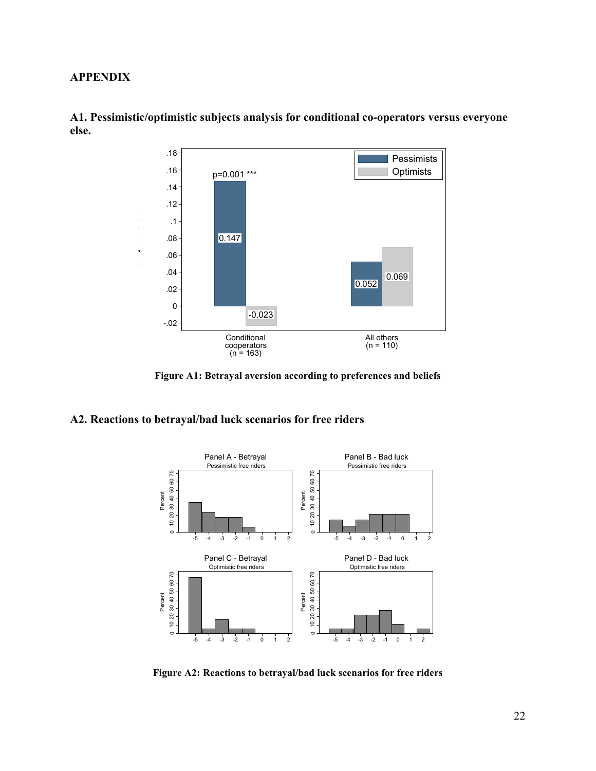#### **APPENDIX**

Betrayal aversion



**A1. Pessimistic/optimistic subjects analysis for conditional co-operators versus everyone else.**

**Figure A1: Betrayal aversion according to preferences and beliefs**

#### **A2. Reactions to betrayal/bad luck scenarios for free riders**



**Figure A2: Reactions to betrayal/bad luck scenarios for free riders**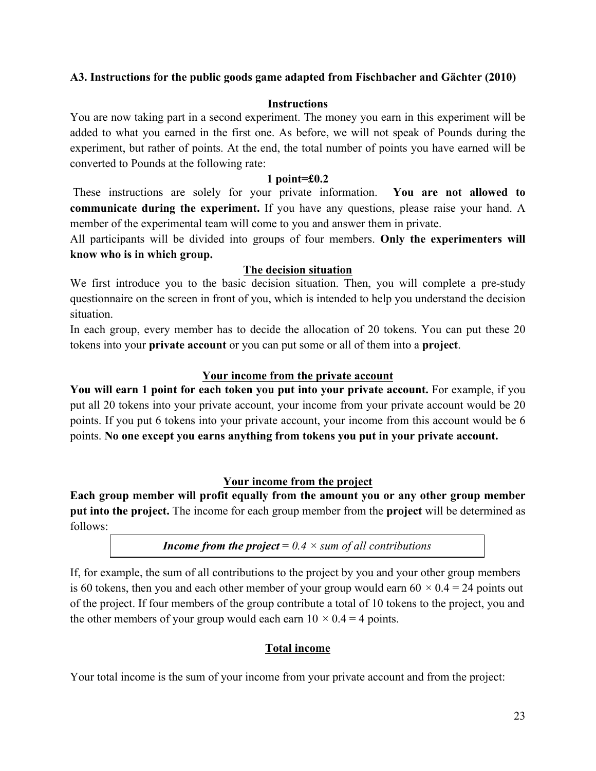### **A3. Instructions for the public goods game adapted from Fischbacher and Gächter (2010)**

#### **Instructions**

You are now taking part in a second experiment. The money you earn in this experiment will be added to what you earned in the first one. As before, we will not speak of Pounds during the experiment, but rather of points. At the end, the total number of points you have earned will be converted to Pounds at the following rate:

#### **1 point=£0.2**

These instructions are solely for your private information. **You are not allowed to communicate during the experiment.** If you have any questions, please raise your hand. A member of the experimental team will come to you and answer them in private.

All participants will be divided into groups of four members. **Only the experimenters will know who is in which group.**

#### **The decision situation**

We first introduce you to the basic decision situation. Then, you will complete a pre-study questionnaire on the screen in front of you, which is intended to help you understand the decision situation.

In each group, every member has to decide the allocation of 20 tokens. You can put these 20 tokens into your **private account** or you can put some or all of them into a **project**.

### **Your income from the private account**

**You will earn 1 point for each token you put into your private account.** For example, if you put all 20 tokens into your private account, your income from your private account would be 20 points. If you put 6 tokens into your private account, your income from this account would be 6 points. **No one except you earns anything from tokens you put in your private account.** 

### **Your income from the project**

**Each group member will profit equally from the amount you or any other group member put into the project.** The income for each group member from the **project** will be determined as follows:

*Income from the project* =  $0.4 \times$  *sum of all contributions* 

If, for example, the sum of all contributions to the project by you and your other group members is 60 tokens, then you and each other member of your group would earn  $60 \times 0.4 = 24$  points out of the project. If four members of the group contribute a total of 10 tokens to the project, you and the other members of your group would each earn  $10 \times 0.4 = 4$  points.

### **Total income**

Your total income is the sum of your income from your private account and from the project: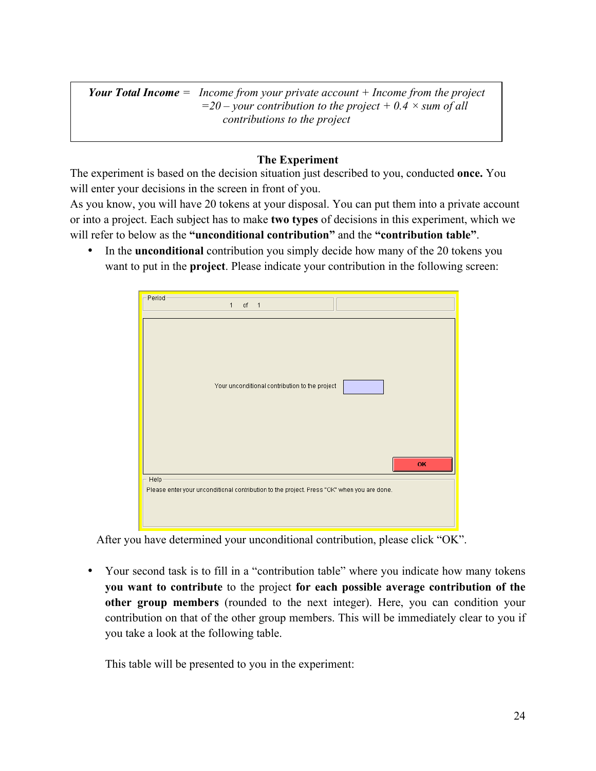*Your Total Income = Income from your private account + Income from the project*   $=$  *=20* – *your contribution to the project* + 0.4  $\times$  *sum of all contributions to the project*

#### **The Experiment**

The experiment is based on the decision situation just described to you, conducted **once.** You will enter your decisions in the screen in front of you.

As you know, you will have 20 tokens at your disposal. You can put them into a private account or into a project. Each subject has to make **two types** of decisions in this experiment, which we will refer to below as the **"unconditional contribution"** and the **"contribution table"**.

• In the **unconditional** contribution you simply decide how many of the 20 tokens you want to put in the **project**. Please indicate your contribution in the following screen:

| Period<br>of $1$<br>$\mathbf{1}$                                                                    |
|-----------------------------------------------------------------------------------------------------|
| Your unconditional contribution to the project<br>OK                                                |
| Help-<br>Please enter your unconditional contribution to the project. Press "OK" when you are done. |

After you have determined your unconditional contribution, please click "OK".

• Your second task is to fill in a "contribution table" where you indicate how many tokens **you want to contribute** to the project **for each possible average contribution of the other group members** (rounded to the next integer). Here, you can condition your contribution on that of the other group members. This will be immediately clear to you if you take a look at the following table.

This table will be presented to you in the experiment: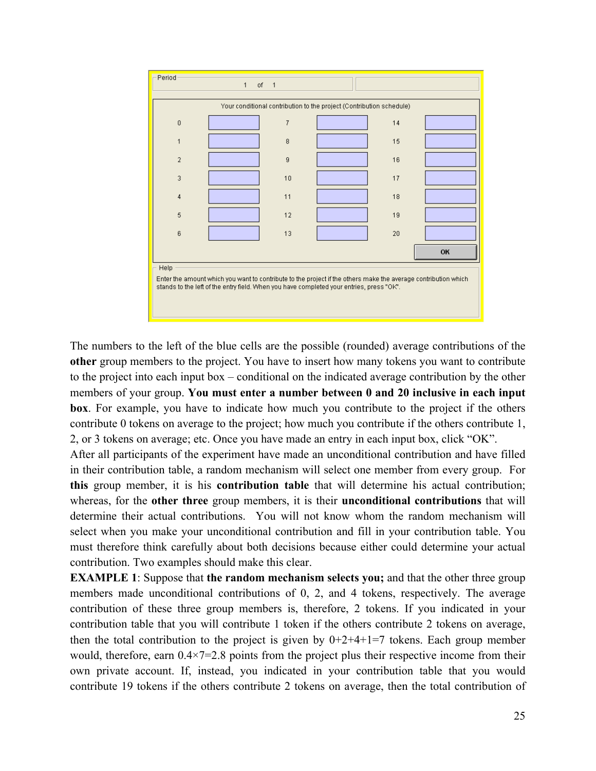

The numbers to the left of the blue cells are the possible (rounded) average contributions of the **other** group members to the project. You have to insert how many tokens you want to contribute to the project into each input box – conditional on the indicated average contribution by the other members of your group. **You must enter a number between 0 and 20 inclusive in each input box**. For example, you have to indicate how much you contribute to the project if the others contribute 0 tokens on average to the project; how much you contribute if the others contribute 1, 2, or 3 tokens on average; etc. Once you have made an entry in each input box, click "OK".

After all participants of the experiment have made an unconditional contribution and have filled in their contribution table, a random mechanism will select one member from every group. For **this** group member, it is his **contribution table** that will determine his actual contribution; whereas, for the **other three** group members, it is their **unconditional contributions** that will determine their actual contributions. You will not know whom the random mechanism will select when you make your unconditional contribution and fill in your contribution table. You must therefore think carefully about both decisions because either could determine your actual contribution. Two examples should make this clear.

**EXAMPLE 1**: Suppose that **the random mechanism selects you;** and that the other three group members made unconditional contributions of 0, 2, and 4 tokens, respectively. The average contribution of these three group members is, therefore, 2 tokens. If you indicated in your contribution table that you will contribute 1 token if the others contribute 2 tokens on average, then the total contribution to the project is given by  $0+2+4+1=7$  tokens. Each group member would, therefore, earn  $0.4 \times 7=2.8$  points from the project plus their respective income from their own private account. If, instead, you indicated in your contribution table that you would contribute 19 tokens if the others contribute 2 tokens on average, then the total contribution of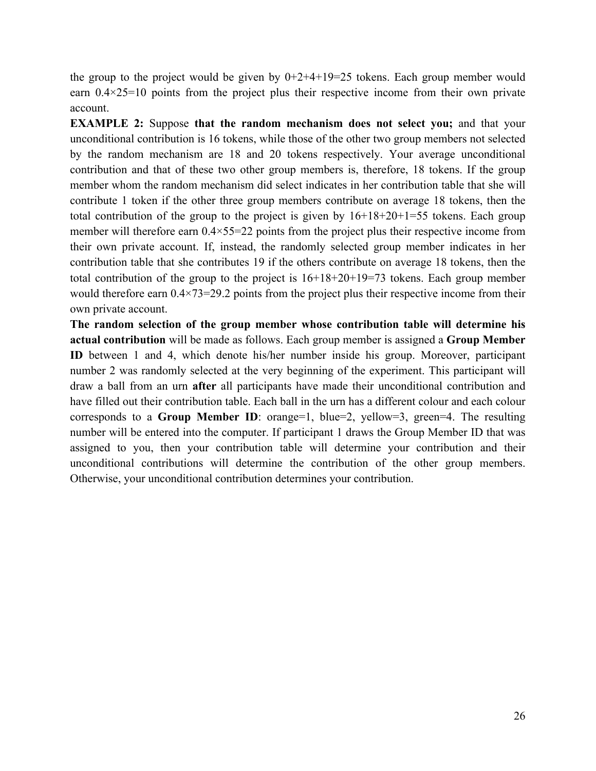the group to the project would be given by  $0+2+4+19=25$  tokens. Each group member would earn  $0.4 \times 25 = 10$  points from the project plus their respective income from their own private account.

**EXAMPLE 2:** Suppose that the random mechanism does not select you; and that your unconditional contribution is 16 tokens, while those of the other two group members not selected by the random mechanism are 18 and 20 tokens respectively. Your average unconditional contribution and that of these two other group members is, therefore, 18 tokens. If the group member whom the random mechanism did select indicates in her contribution table that she will contribute 1 token if the other three group members contribute on average 18 tokens, then the total contribution of the group to the project is given by 16+18+20+1=55 tokens. Each group member will therefore earn 0.4×55=22 points from the project plus their respective income from their own private account. If, instead, the randomly selected group member indicates in her contribution table that she contributes 19 if the others contribute on average 18 tokens, then the total contribution of the group to the project is 16+18+20+19=73 tokens. Each group member would therefore earn  $0.4 \times 73 = 29.2$  points from the project plus their respective income from their own private account.

**The random selection of the group member whose contribution table will determine his actual contribution** will be made as follows. Each group member is assigned a **Group Member ID** between 1 and 4, which denote his/her number inside his group. Moreover, participant number 2 was randomly selected at the very beginning of the experiment. This participant will draw a ball from an urn **after** all participants have made their unconditional contribution and have filled out their contribution table. Each ball in the urn has a different colour and each colour corresponds to a **Group Member ID**: orange=1, blue=2, yellow=3, green=4. The resulting number will be entered into the computer. If participant 1 draws the Group Member ID that was assigned to you, then your contribution table will determine your contribution and their unconditional contributions will determine the contribution of the other group members. Otherwise, your unconditional contribution determines your contribution.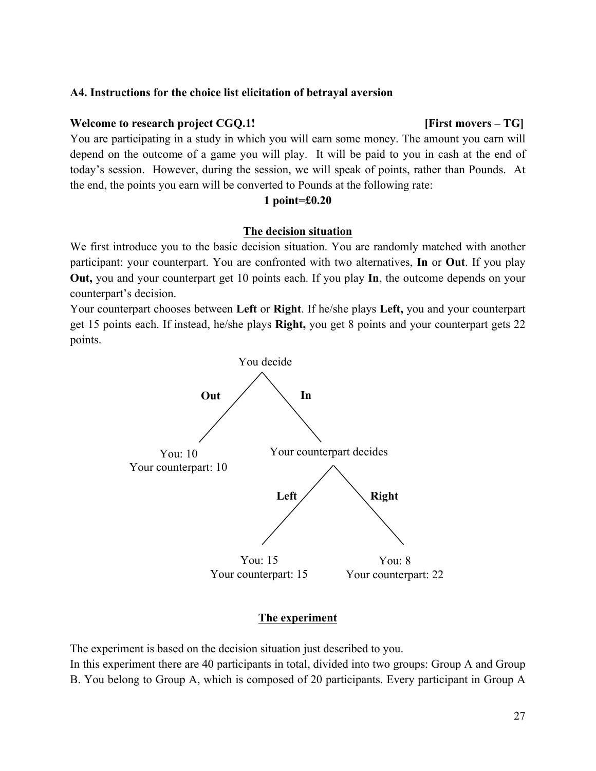#### **A4. Instructions for the choice list elicitation of betrayal aversion**

#### **Welcome to research project CGQ.1! [First movers – TG]**

You are participating in a study in which you will earn some money. The amount you earn will depend on the outcome of a game you will play. It will be paid to you in cash at the end of today's session. However, during the session, we will speak of points, rather than Pounds. At the end, the points you earn will be converted to Pounds at the following rate:

#### **1 point=£0.20**

#### **The decision situation**

We first introduce you to the basic decision situation. You are randomly matched with another participant: your counterpart. You are confronted with two alternatives, **In** or **Out**. If you play **Out,** you and your counterpart get 10 points each. If you play **In**, the outcome depends on your counterpart's decision.

Your counterpart chooses between **Left** or **Right**. If he/she plays **Left,** you and your counterpart get 15 points each. If instead, he/she plays **Right,** you get 8 points and your counterpart gets 22 points.



#### **The experiment**

The experiment is based on the decision situation just described to you.

In this experiment there are 40 participants in total, divided into two groups: Group A and Group B. You belong to Group A, which is composed of 20 participants. Every participant in Group A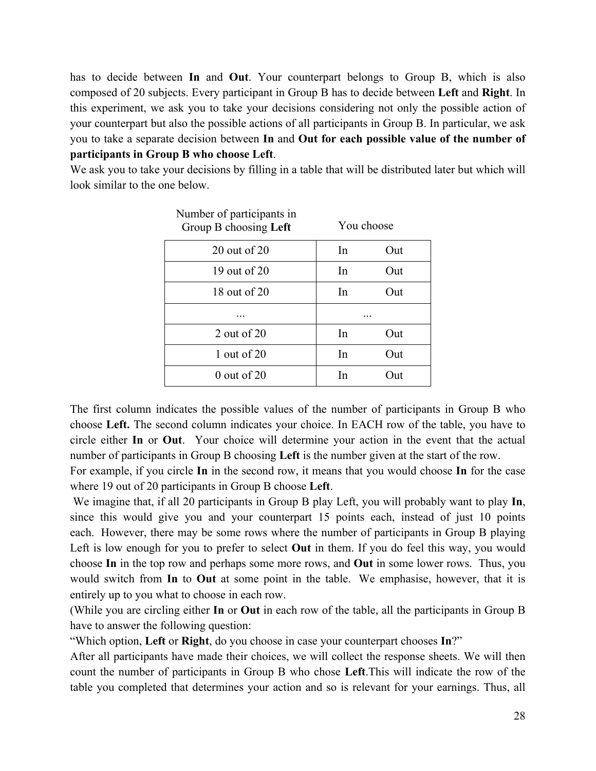has to decide between **In** and **Out**. Your counterpart belongs to Group B, which is also composed of 20 subjects. Every participant in Group B has to decide between **Left** and **Right**. In this experiment, we ask you to take your decisions considering not only the possible action of your counterpart but also the possible actions of all participants in Group B. In particular, we ask you to take a separate decision between **In** and **Out for each possible value of the number of participants in Group B who choose Left**.

We ask you to take your decisions by filling in a table that will be distributed later but which will look similar to the one below.

| Number of participants in<br>Group B choosing Left | You choose |     |  |
|----------------------------------------------------|------------|-----|--|
| 20 out of 20                                       | In         | Out |  |
| 19 out of 20                                       | In         | Out |  |
| 18 out of 20                                       | In         | Out |  |
|                                                    |            |     |  |
| 2 out of $20$                                      | In         | Out |  |
| 1 out of $20$                                      | In         | Out |  |
| $0$ out of 20                                      | In         | Out |  |

The first column indicates the possible values of the number of participants in Group B who choose **Left.** The second column indicates your choice. In EACH row of the table, you have to circle either **In** or **Out**. Your choice will determine your action in the event that the actual number of participants in Group B choosing **Left** is the number given at the start of the row.

For example, if you circle **In** in the second row, it means that you would choose **In** for the case where 19 out of 20 participants in Group B choose **Left**.

We imagine that, if all 20 participants in Group B play Left, you will probably want to play **In**, since this would give you and your counterpart 15 points each, instead of just 10 points each. However, there may be some rows where the number of participants in Group B playing Left is low enough for you to prefer to select **Out** in them. If you do feel this way, you would choose **In** in the top row and perhaps some more rows, and **Out** in some lower rows. Thus, you would switch from **In** to **Out** at some point in the table. We emphasise, however, that it is entirely up to you what to choose in each row.

(While you are circling either **In** or **Out** in each row of the table, all the participants in Group B have to answer the following question:

"Which option, **Left** or **Right**, do you choose in case your counterpart chooses **In**?"

After all participants have made their choices, we will collect the response sheets. We will then count the number of participants in Group B who chose **Left**.This will indicate the row of the table you completed that determines your action and so is relevant for your earnings. Thus, all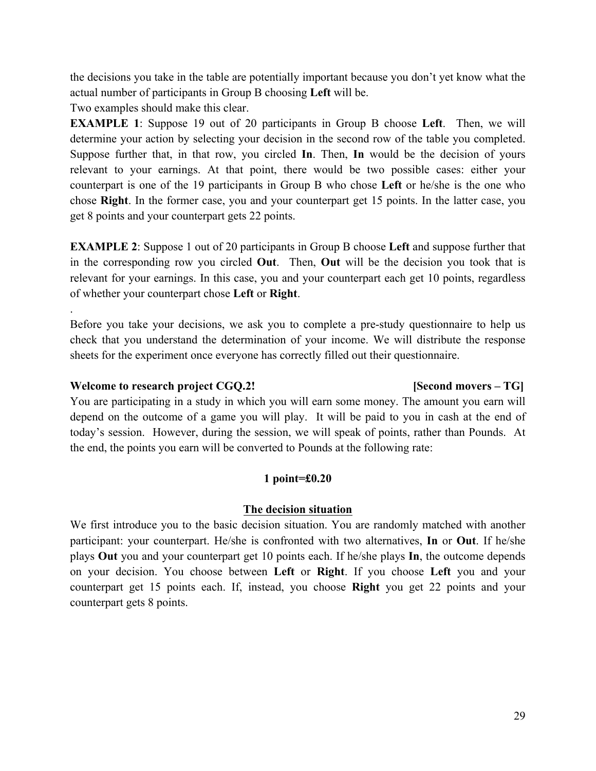the decisions you take in the table are potentially important because you don't yet know what the actual number of participants in Group B choosing **Left** will be.

Two examples should make this clear.

**EXAMPLE 1**: Suppose 19 out of 20 participants in Group B choose **Left**. Then, we will determine your action by selecting your decision in the second row of the table you completed. Suppose further that, in that row, you circled **In**. Then, **In** would be the decision of yours relevant to your earnings. At that point, there would be two possible cases: either your counterpart is one of the 19 participants in Group B who chose **Left** or he/she is the one who chose **Right**. In the former case, you and your counterpart get 15 points. In the latter case, you get 8 points and your counterpart gets 22 points.

**EXAMPLE 2**: Suppose 1 out of 20 participants in Group B choose **Left** and suppose further that in the corresponding row you circled **Out**. Then, **Out** will be the decision you took that is relevant for your earnings. In this case, you and your counterpart each get 10 points, regardless of whether your counterpart chose **Left** or **Right**.

Before you take your decisions, we ask you to complete a pre-study questionnaire to help us check that you understand the determination of your income. We will distribute the response sheets for the experiment once everyone has correctly filled out their questionnaire.

### **Welcome to research project CGQ.2! [Second movers – TG]**

.

You are participating in a study in which you will earn some money. The amount you earn will depend on the outcome of a game you will play. It will be paid to you in cash at the end of today's session. However, during the session, we will speak of points, rather than Pounds. At the end, the points you earn will be converted to Pounds at the following rate:

### **1 point=£0.20**

### **The decision situation**

We first introduce you to the basic decision situation. You are randomly matched with another participant: your counterpart. He/she is confronted with two alternatives, **In** or **Out**. If he/she plays **Out** you and your counterpart get 10 points each. If he/she plays **In**, the outcome depends on your decision. You choose between **Left** or **Right**. If you choose **Left** you and your counterpart get 15 points each. If, instead, you choose **Right** you get 22 points and your counterpart gets 8 points.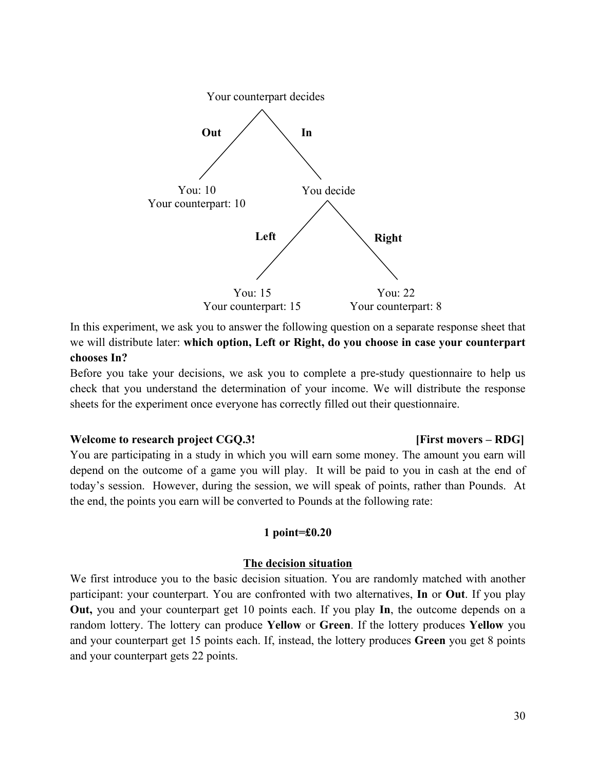

In this experiment, we ask you to answer the following question on a separate response sheet that we will distribute later: **which option, Left or Right, do you choose in case your counterpart chooses In?**

Before you take your decisions, we ask you to complete a pre-study questionnaire to help us check that you understand the determination of your income. We will distribute the response sheets for the experiment once everyone has correctly filled out their questionnaire.

#### **Welcome to research project CGQ.3! [First movers – RDG]**

## You are participating in a study in which you will earn some money. The amount you earn will depend on the outcome of a game you will play. It will be paid to you in cash at the end of today's session. However, during the session, we will speak of points, rather than Pounds. At the end, the points you earn will be converted to Pounds at the following rate:

#### **1 point=£0.20**

#### **The decision situation**

We first introduce you to the basic decision situation. You are randomly matched with another participant: your counterpart. You are confronted with two alternatives, **In** or **Out**. If you play **Out,** you and your counterpart get 10 points each. If you play **In**, the outcome depends on a random lottery. The lottery can produce **Yellow** or **Green**. If the lottery produces **Yellow** you and your counterpart get 15 points each. If, instead, the lottery produces **Green** you get 8 points and your counterpart gets 22 points.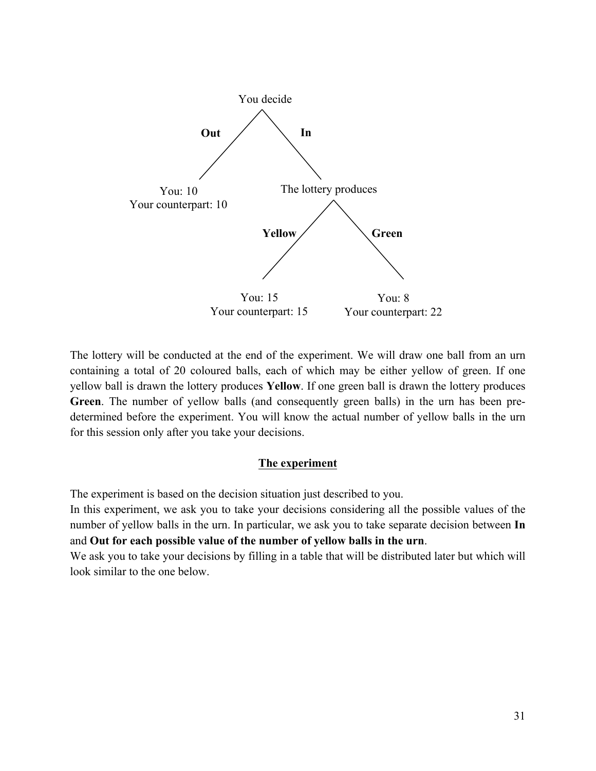

The lottery will be conducted at the end of the experiment. We will draw one ball from an urn containing a total of 20 coloured balls, each of which may be either yellow of green. If one yellow ball is drawn the lottery produces **Yellow**. If one green ball is drawn the lottery produces **Green**. The number of yellow balls (and consequently green balls) in the urn has been predetermined before the experiment. You will know the actual number of yellow balls in the urn for this session only after you take your decisions.

### **The experiment**

The experiment is based on the decision situation just described to you.

In this experiment, we ask you to take your decisions considering all the possible values of the number of yellow balls in the urn. In particular, we ask you to take separate decision between **In** and **Out for each possible value of the number of yellow balls in the urn**.

We ask you to take your decisions by filling in a table that will be distributed later but which will look similar to the one below.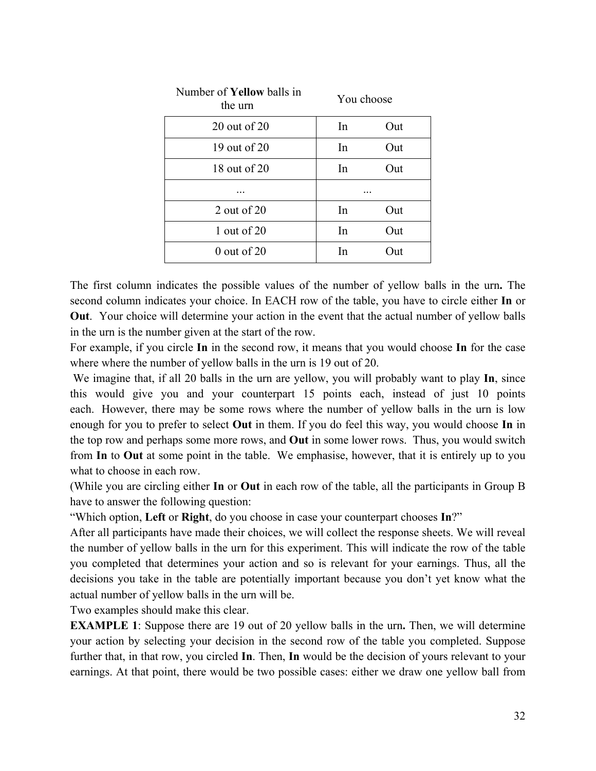| Number of <b>Yellow</b> balls in<br>the urn | You choose |       |  |
|---------------------------------------------|------------|-------|--|
| 20 out of 20                                | In         | Out   |  |
| 19 out of 20                                | In         | Out   |  |
| 18 out of 20                                | In         | Out   |  |
|                                             |            |       |  |
| 2 out of $20$                               | In         | Out   |  |
| 1 out of $20$                               | In         | Out   |  |
| $0$ out of 20                               | In         | Dut ! |  |

The first column indicates the possible values of the number of yellow balls in the urn**.** The second column indicates your choice. In EACH row of the table, you have to circle either **In** or **Out**. Your choice will determine your action in the event that the actual number of yellow balls in the urn is the number given at the start of the row.

For example, if you circle **In** in the second row, it means that you would choose **In** for the case where where the number of yellow balls in the urn is 19 out of 20.

We imagine that, if all 20 balls in the urn are yellow, you will probably want to play **In**, since this would give you and your counterpart 15 points each, instead of just 10 points each. However, there may be some rows where the number of yellow balls in the urn is low enough for you to prefer to select **Out** in them. If you do feel this way, you would choose **In** in the top row and perhaps some more rows, and **Out** in some lower rows. Thus, you would switch from **In** to **Out** at some point in the table. We emphasise, however, that it is entirely up to you what to choose in each row.

(While you are circling either **In** or **Out** in each row of the table, all the participants in Group B have to answer the following question:

"Which option, **Left** or **Right**, do you choose in case your counterpart chooses **In**?"

After all participants have made their choices, we will collect the response sheets. We will reveal the number of yellow balls in the urn for this experiment. This will indicate the row of the table you completed that determines your action and so is relevant for your earnings. Thus, all the decisions you take in the table are potentially important because you don't yet know what the actual number of yellow balls in the urn will be.

Two examples should make this clear.

**EXAMPLE 1**: Suppose there are 19 out of 20 yellow balls in the urn. Then, we will determine your action by selecting your decision in the second row of the table you completed. Suppose further that, in that row, you circled **In**. Then, **In** would be the decision of yours relevant to your earnings. At that point, there would be two possible cases: either we draw one yellow ball from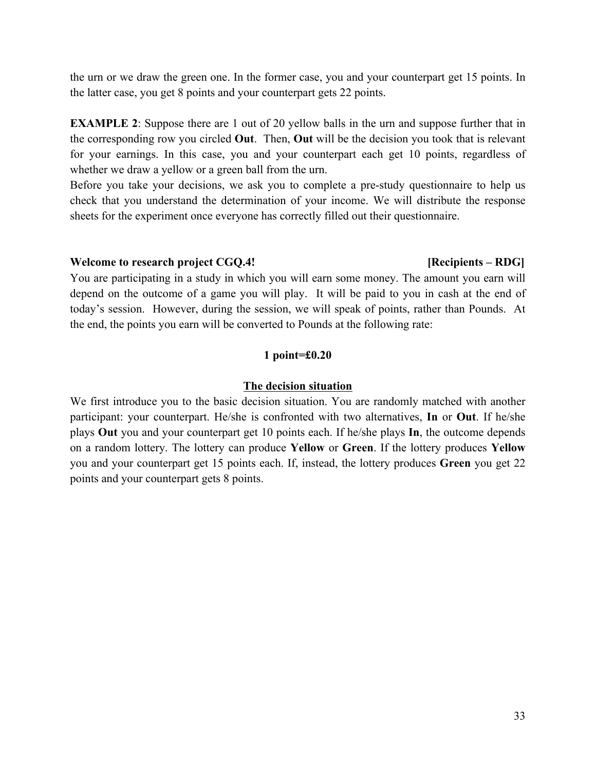the urn or we draw the green one. In the former case, you and your counterpart get 15 points. In the latter case, you get 8 points and your counterpart gets 22 points.

**EXAMPLE 2**: Suppose there are 1 out of 20 yellow balls in the urn and suppose further that in the corresponding row you circled **Out**. Then, **Out** will be the decision you took that is relevant for your earnings. In this case, you and your counterpart each get 10 points, regardless of whether we draw a yellow or a green ball from the urn.

Before you take your decisions, we ask you to complete a pre-study questionnaire to help us check that you understand the determination of your income. We will distribute the response sheets for the experiment once everyone has correctly filled out their questionnaire.

#### **Welcome to research project CGQ.4! [Recipients – RDG]**

You are participating in a study in which you will earn some money. The amount you earn will depend on the outcome of a game you will play. It will be paid to you in cash at the end of today's session. However, during the session, we will speak of points, rather than Pounds. At the end, the points you earn will be converted to Pounds at the following rate:

### **1 point=£0.20**

### **The decision situation**

We first introduce you to the basic decision situation. You are randomly matched with another participant: your counterpart. He/she is confronted with two alternatives, **In** or **Out**. If he/she plays **Out** you and your counterpart get 10 points each. If he/she plays **In**, the outcome depends on a random lottery. The lottery can produce **Yellow** or **Green**. If the lottery produces **Yellow**  you and your counterpart get 15 points each. If, instead, the lottery produces **Green** you get 22 points and your counterpart gets 8 points.